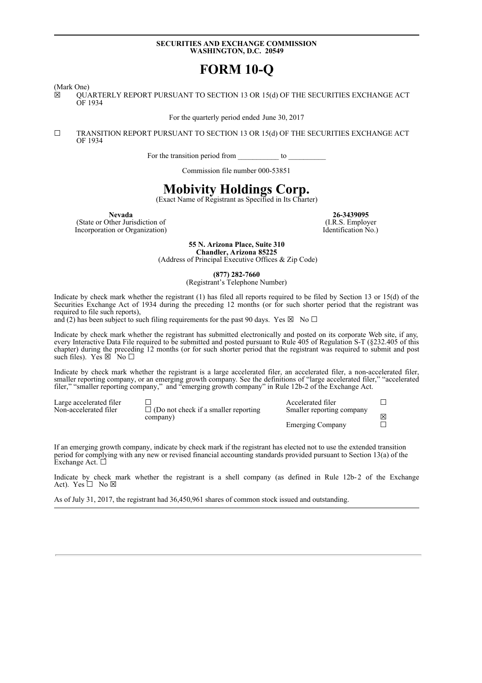## **SECURITIES AND EXCHANGE COMMISSION WASHINGTON, D.C. 20549**

# **FORM 10-Q**

(Mark One)

☒ QUARTERLY REPORT PURSUANT TO SECTION 13 OR 15(d) OF THE SECURITIES EXCHANGE ACT OF 1934

For the quarterly period ended June 30, 2017

☐ TRANSITION REPORT PURSUANT TO SECTION 13 OR 15(d) OF THE SECURITIES EXCHANGE ACT OF 1934

For the transition period from to  $\sim$ 

Commission file number 000-53851

## **Mobivity Holdings Corp.**

(Exact Name of Registrant as Specified in Its Charter)

(State or Other Jurisdiction of (I.R.S. Employer (I.R.S. Employer ) (I.R.S. Employer ) (I.R.S. Employer Incorporation or Organization)

**Nevada 26-3439095**<br> **26-3439095**<br> **26-3439095**<br> **26-3439095**<br> **26-3439095** 

**55 N. Arizona Place, Suite 310 Chandler, Arizona 85225**

(Address of Principal Executive Offices & Zip Code)

**(877) 282-7660**

(Registrant's Telephone Number)

Indicate by check mark whether the registrant (1) has filed all reports required to be filed by Section 13 or 15(d) of the Securities Exchange Act of 1934 during the preceding 12 months (or for such shorter period that the registrant was required to file such reports),

and (2) has been subject to such filing requirements for the past 90 days. Yes  $\boxtimes$  No  $\Box$ 

Indicate by check mark whether the registrant has submitted electronically and posted on its corporate Web site, if any, every Interactive Data File required to be submitted and posted pursuant to Rule 405 of Regulation S-T (§232.405 of this chapter) during the preceding 12 months (or for such shorter period that the registrant was required to submit and post such files). Yes  $\boxtimes \cap$  No  $\square$ 

Indicate by check mark whether the registrant is a large accelerated filer, an accelerated filer, a non-accelerated filer, smaller reporting company, or an emerging growth company. See the definitions of "large accelerated filer," "accelerated filer," "smaller reporting company," and "emerging growth company" in Rule 12b-2 of the Exchange Act.

Large accelerated filer  $□$ <br>
Non-accelerated filer  $□$  (Do not check if a smaller reporting Smaller reporting company  $\Box$  (Do not check if a smaller reporting company) Smaller reporting company ☒ Emerging Company □

If an emerging growth company, indicate by check mark if the registrant has elected not to use the extended transition period for complying with any new or revised financial accounting standards provided pursuant to Section 13(a) of the Exchange Act. <del>□</del>

Indicate by check mark whether the registrant is a shell company (as defined in Rule 12b-2 of the Exchange Act). Yes  $\Box$  No  $\boxtimes$ 

As of July 31, 2017, the registrant had 36,450,961 shares of common stock issued and outstanding.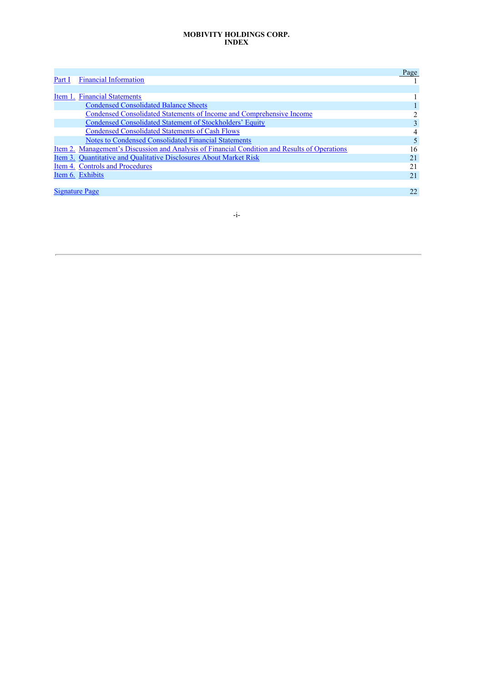## **MOBIVITY HOLDINGS CORP. INDEX**

|        |                                                                                                      | Page |
|--------|------------------------------------------------------------------------------------------------------|------|
| Part I | <b>Financial Information</b>                                                                         |      |
|        |                                                                                                      |      |
|        | Item 1. Financial Statements                                                                         |      |
|        | <b>Condensed Consolidated Balance Sheets</b>                                                         |      |
|        | Condensed Consolidated Statements of Income and Comprehensive Income                                 |      |
|        | Condensed Consolidated Statement of Stockholders' Equity                                             |      |
|        | <b>Condensed Consolidated Statements of Cash Flows</b>                                               | 4    |
|        | Notes to Condensed Consolidated Financial Statements                                                 |      |
|        | <u>Item 2. Management's Discussion and Analysis of Financial Condition and Results of Operations</u> | 16   |
|        | Item 3. Quantitative and Qualitative Disclosures About Market Risk                                   | 2.1  |
|        | Item 4. Controls and Procedures                                                                      | 21   |
|        | Item 6. Exhibits                                                                                     | 2.1  |
|        |                                                                                                      |      |
|        | Signature Page                                                                                       | 22   |

-i-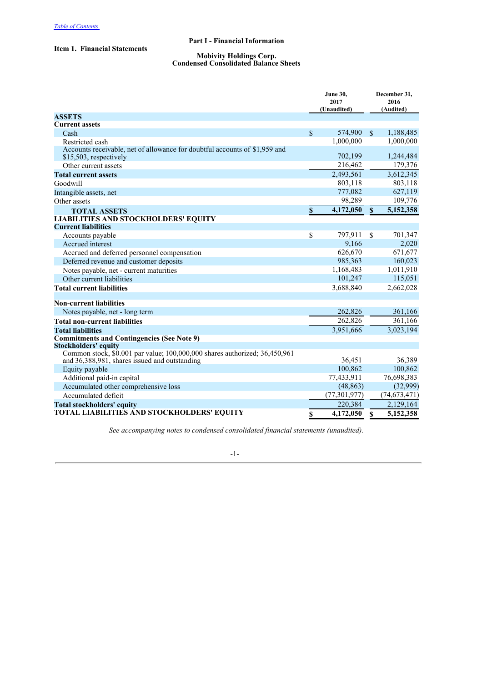## **Part I - Financial Information**

## **Item 1. Financial Statements**

#### **Mobivity Holdings Corp. Condensed Consolidated Balance Sheets**

|                                                                                                                             | <b>June 30,</b><br>2017<br>(Unaudited) |                |               | December 31,<br>2016<br>(Audited) |
|-----------------------------------------------------------------------------------------------------------------------------|----------------------------------------|----------------|---------------|-----------------------------------|
| <b>ASSETS</b>                                                                                                               |                                        |                |               |                                   |
| <b>Current assets</b>                                                                                                       |                                        |                |               |                                   |
| Cash                                                                                                                        | $\mathbb{S}$                           | 574,900        | $\mathbb{S}$  | 1,188,485                         |
| Restricted cash                                                                                                             |                                        | 1,000,000      |               | 1,000,000                         |
| Accounts receivable, net of allowance for doubtful accounts of \$1,959 and<br>\$15,503, respectively                        |                                        | 702,199        |               | 1,244,484                         |
| Other current assets                                                                                                        |                                        | 216,462        |               | 179,376                           |
| <b>Total current assets</b>                                                                                                 |                                        | 2,493,561      |               | 3,612,345                         |
| Goodwill                                                                                                                    |                                        | 803,118        |               | 803,118                           |
| Intangible assets, net                                                                                                      |                                        | 777,082        |               | 627,119                           |
| Other assets                                                                                                                |                                        | 98,289         |               | 109,776                           |
| <b>TOTAL ASSETS</b>                                                                                                         | \$                                     | 4,172,050      | $\mathbf{s}$  | 5,152,358                         |
| <b>LIABILITIES AND STOCKHOLDERS' EQUITY</b>                                                                                 |                                        |                |               |                                   |
| <b>Current liabilities</b>                                                                                                  |                                        |                |               |                                   |
| Accounts payable                                                                                                            | \$                                     | 797,911        | $\mathcal{S}$ | 701,347                           |
| Accrued interest                                                                                                            |                                        | 9,166          |               | 2,020                             |
| Accrued and deferred personnel compensation                                                                                 |                                        | 626,670        |               | 671,677                           |
| Deferred revenue and customer deposits                                                                                      |                                        | 985,363        |               | 160,023                           |
| Notes payable, net - current maturities                                                                                     |                                        | 1,168,483      |               | 1,011,910                         |
| Other current liabilities                                                                                                   |                                        | 101,247        |               | 115,051                           |
| <b>Total current liabilities</b>                                                                                            |                                        | 3,688,840      |               | 2,662,028                         |
|                                                                                                                             |                                        |                |               |                                   |
| <b>Non-current liabilities</b>                                                                                              |                                        |                |               |                                   |
| Notes payable, net - long term                                                                                              |                                        | 262,826        |               | 361,166                           |
| <b>Total non-current liabilities</b>                                                                                        |                                        | 262,826        |               | 361,166                           |
| <b>Total liabilities</b>                                                                                                    |                                        | 3,951,666      |               | 3,023,194                         |
| <b>Commitments and Contingencies (See Note 9)</b>                                                                           |                                        |                |               |                                   |
| <b>Stockholders' equity</b>                                                                                                 |                                        |                |               |                                   |
| Common stock, \$0.001 par value; 100,000,000 shares authorized; 36,450,961<br>and 36,388,981, shares issued and outstanding |                                        | 36,451         |               | 36,389                            |
| Equity payable                                                                                                              |                                        | 100,862        |               | 100,862                           |
| Additional paid-in capital                                                                                                  |                                        | 77,433,911     |               | 76,698,383                        |
| Accumulated other comprehensive loss                                                                                        |                                        | (48, 863)      |               | (32,999)                          |
| Accumulated deficit                                                                                                         |                                        | (77, 301, 977) |               | (74, 673, 471)                    |
| <b>Total stockholders' equity</b>                                                                                           |                                        | 220,384        |               | 2,129,164                         |
| TOTAL LIABILITIES AND STOCKHOLDERS' EQUITY                                                                                  | \$                                     | 4,172,050      | $\mathbf{s}$  | 5,152,358                         |

*See accompanying notes to condensed consolidated financial statements (unaudited).*

## -1-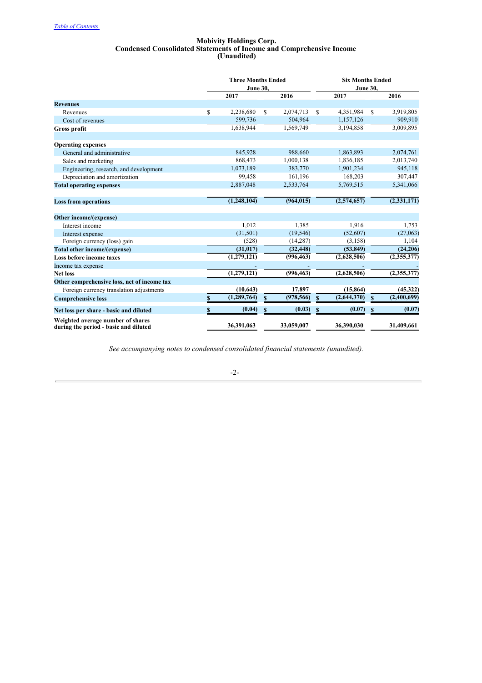#### **Mobivity Holdings Corp. Condensed Consolidated Statements of Income and Comprehensive Income (Unaudited)**

|                                                                            |              | <b>Three Months Ended</b><br><b>June 30,</b> |              |            | <b>Six Months Ended</b><br><b>June 30,</b> |               |               |  |  |
|----------------------------------------------------------------------------|--------------|----------------------------------------------|--------------|------------|--------------------------------------------|---------------|---------------|--|--|
|                                                                            |              | 2017                                         |              | 2016       | 2017                                       |               | 2016          |  |  |
| <b>Revenues</b>                                                            |              |                                              |              |            |                                            |               |               |  |  |
| Revenues                                                                   | \$           | 2,238,680                                    | $\mathbf S$  | 2,074,713  | \$<br>4,351,984                            | $\mathcal{S}$ | 3,919,805     |  |  |
| Cost of revenues                                                           |              | 599,736                                      |              | 504,964    | 1,157,126                                  |               | 909,910       |  |  |
| <b>Gross profit</b>                                                        |              | 1,638,944                                    |              | 1,569,749  | 3,194,858                                  |               | 3,009,895     |  |  |
| <b>Operating expenses</b>                                                  |              |                                              |              |            |                                            |               |               |  |  |
| General and administrative                                                 |              | 845,928                                      |              | 988,660    | 1,863,893                                  |               | 2,074,761     |  |  |
| Sales and marketing                                                        |              | 868,473                                      |              | 1,000,138  | 1,836,185                                  |               | 2,013,740     |  |  |
| Engineering, research, and development                                     |              | 1,073,189                                    |              | 383,770    | 1,901,234                                  |               | 945,118       |  |  |
| Depreciation and amortization                                              |              | 99,458                                       |              | 161,196    | 168,203                                    |               | 307,447       |  |  |
| <b>Total operating expenses</b>                                            |              | 2,887,048                                    |              | 2,533,764  | 5,769,515                                  |               | 5,341,066     |  |  |
| <b>Loss from operations</b>                                                |              | (1, 248, 104)                                |              | (964, 015) | (2,574,657)                                |               | (2, 331, 171) |  |  |
| Other income/(expense)                                                     |              |                                              |              |            |                                            |               |               |  |  |
| Interest income                                                            |              | 1.012                                        |              | 1.385      | 1.916                                      |               | 1,753         |  |  |
| Interest expense                                                           |              | (31,501)                                     |              | (19, 546)  | (52,607)                                   |               | (27,063)      |  |  |
| Foreign currency (loss) gain                                               |              | (528)                                        |              | (14, 287)  | (3,158)                                    |               | 1,104         |  |  |
| Total other income/(expense)                                               |              | (31, 017)                                    |              | (32, 448)  | (53, 849)                                  |               | (24,206)      |  |  |
| <b>Loss before income taxes</b>                                            |              | (1,279,121)                                  |              | (996, 463) | (2,628,506)                                |               | (2,355,377)   |  |  |
| Income tax expense                                                         |              |                                              |              |            |                                            |               |               |  |  |
| <b>Net loss</b>                                                            |              | (1,279,121)                                  |              | (996, 463) | (2,628,506)                                |               | (2,355,377)   |  |  |
| Other comprehensive loss, net of income tax                                |              |                                              |              |            |                                            |               |               |  |  |
| Foreign currency translation adjustments                                   |              | (10, 643)                                    |              | 17,897     | (15, 864)                                  |               | (45, 322)     |  |  |
| <b>Comprehensive loss</b>                                                  | $\mathbf{s}$ | (1, 289, 764)                                | $\mathbf{s}$ | (978, 566) | \$<br>(2,644,370)                          | $\mathbf S$   | (2,400,699)   |  |  |
| Net loss per share - basic and diluted                                     | \$           | (0.04)                                       | \$           | (0.03)     | \$<br>(0.07)                               | \$            | (0.07)        |  |  |
| Weighted average number of shares<br>during the period - basic and diluted |              | 36,391,063                                   |              | 33,059,007 | 36,390,030                                 |               | 31,409,661    |  |  |

*See accompanying notes to condensed consolidated financial statements (unaudited).*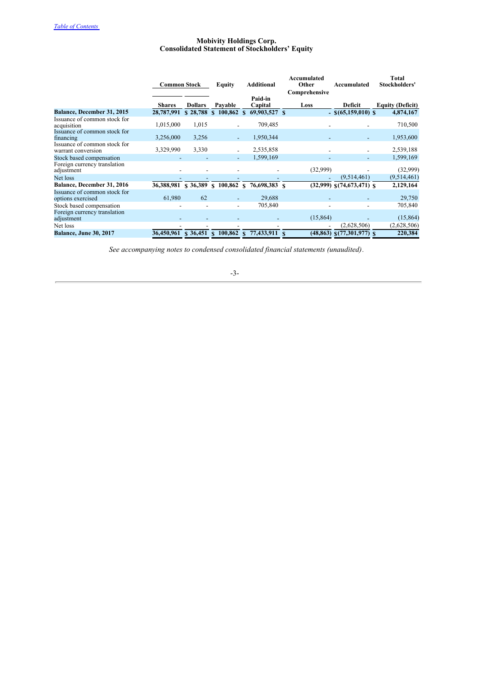## **Mobivity Holdings Corp. Consolidated Statement of Stockholders' Equity**

|                                                    | <b>Common Stock</b> |                |              | <b>Equity</b>            | <b>Additional</b> |                                           |  | Accumulated<br>Other | Accumulated                     | Total<br>Stockholders'  |
|----------------------------------------------------|---------------------|----------------|--------------|--------------------------|-------------------|-------------------------------------------|--|----------------------|---------------------------------|-------------------------|
|                                                    |                     |                |              |                          |                   |                                           |  | Comprehensive        |                                 |                         |
|                                                    | <b>Shares</b>       | <b>Dollars</b> |              | Pavable                  |                   | Paid-in<br>Capital                        |  | Loss                 | Deficit                         | <b>Equity (Deficit)</b> |
| Balance, December 31, 2015                         | 28,787,991          | \$28,788       |              |                          |                   | $$100,862 \text{ s} 69,903,527 \text{ s}$ |  |                      | $-$ \$(65,159,010) \$           | 4,874,167               |
| Issuance of common stock for<br>acquisition        | 1,015,000           | 1,015          |              |                          |                   | 709,485                                   |  |                      |                                 | 710,500                 |
| Issuance of common stock for<br>financing          | 3,256,000           | 3,256          |              | $\overline{\phantom{a}}$ |                   | 1,950,344                                 |  |                      |                                 | 1,953,600               |
| Issuance of common stock for<br>warrant conversion | 3,329,990           | 3,330          |              |                          |                   | 2,535,858                                 |  |                      |                                 | 2,539,188               |
| Stock based compensation                           |                     |                |              |                          |                   | 1,599,169                                 |  |                      |                                 | 1,599,169               |
| Foreign currency translation<br>adjustment         |                     |                |              |                          |                   |                                           |  | (32,999)             |                                 | (32,999)                |
| Net loss                                           |                     |                |              |                          |                   |                                           |  |                      | (9,514,461)                     | (9,514,461)             |
| Balance, December 31, 2016                         | 36,388,981          | \$36,389       |              | \$100,862                | <sup>\$</sup>     | 76,698,383 \$                             |  |                      | $(32,999)$ \$ $(74,673,471)$ \$ | 2,129,164               |
| Issuance of common stock for<br>options exercised  | 61,980              | 62             |              |                          |                   | 29,688                                    |  |                      |                                 | 29,750                  |
| Stock based compensation                           |                     |                |              |                          |                   | 705,840                                   |  |                      |                                 | 705,840                 |
| Foreign currency translation<br>adjustment         |                     |                |              |                          |                   |                                           |  | (15, 864)            |                                 | (15, 864)               |
| Net loss                                           |                     |                |              |                          |                   |                                           |  |                      | (2,628,506)                     | (2,628,506)             |
| <b>Balance, June 30, 2017</b>                      | 36,450,961          | \$36,451       | $\mathbf{s}$ | 100,862                  |                   | 77,433,911                                |  |                      | $(48,863)$ \$(77,301,977) \$    | 220,384                 |

*See accompanying notes to condensed consolidated financial statements (unaudited).*

## -3-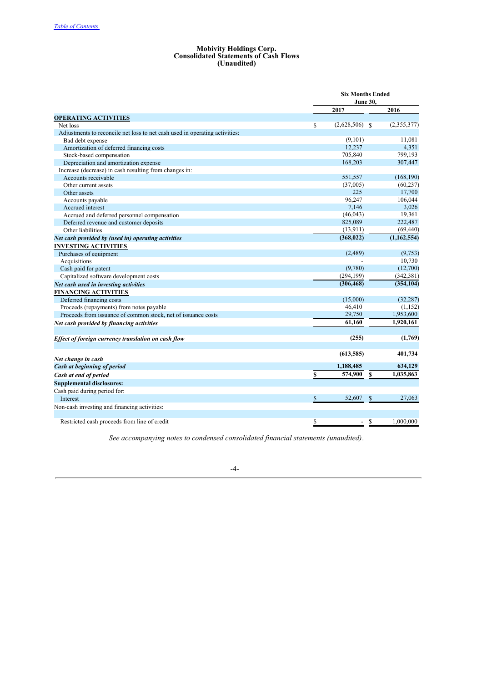#### **Mobivity Holdings Corp. Consolidated Statements of Cash Flows (Unaudited)**

|                                                                             |    | <b>Six Months Ended</b> |               |               |
|-----------------------------------------------------------------------------|----|-------------------------|---------------|---------------|
|                                                                             |    |                         |               |               |
|                                                                             |    | 2017                    |               | 2016          |
| <b>OPERATING ACTIVITIES</b>                                                 |    |                         |               |               |
| Net loss                                                                    | S  | $(2,628,506)$ \$        |               | (2,355,377)   |
| Adjustments to reconcile net loss to net cash used in operating activities: |    |                         |               |               |
| Bad debt expense                                                            |    | (9,101)                 |               | 11,081        |
| Amortization of deferred financing costs                                    |    | 12,237                  |               | 4,351         |
| Stock-based compensation                                                    |    | 705,840                 |               | 799,193       |
| Depreciation and amortization expense                                       |    | 168,203                 |               | 307,447       |
| Increase (decrease) in cash resulting from changes in:                      |    |                         |               |               |
| Accounts receivable                                                         |    | 551,557                 |               | (168, 190)    |
| Other current assets                                                        |    | (37,005)                |               | (60, 237)     |
| Other assets                                                                |    | 225                     |               | 17,700        |
| Accounts payable                                                            |    | 96,247                  |               | 106,044       |
| Accrued interest                                                            |    | 7,146                   |               | 3,026         |
| Accrued and deferred personnel compensation                                 |    | (46, 043)               |               | 19,361        |
| Deferred revenue and customer deposits                                      |    | 825,089                 |               | 222,487       |
| Other liabilities                                                           |    | (13,911)                |               | (69, 440)     |
| Net cash provided by (used in) operating activities                         |    | (368, 022)              |               | (1, 162, 554) |
| <b>INVESTING ACTIVITIES</b>                                                 |    |                         |               |               |
| Purchases of equipment                                                      |    | (2,489)                 |               | (9,753)       |
| Acquisitions                                                                |    |                         |               | 10,730        |
| Cash paid for patent                                                        |    | (9,780)                 |               | (12,700)      |
| Capitalized software development costs                                      |    | (294, 199)              |               | (342, 381)    |
| Net cash used in investing activities                                       |    | (306, 468)              |               | (354, 104)    |
| <b>FINANCING ACTIVITIES</b>                                                 |    |                         |               |               |
| Deferred financing costs                                                    |    | (15,000)                |               | (32, 287)     |
| Proceeds (repayments) from notes payable                                    |    | 46,410                  |               | (1,152)       |
| Proceeds from issuance of common stock, net of issuance costs               |    | 29,750                  |               | 1,953,600     |
|                                                                             |    | 61.160                  |               | 1,920,161     |
| Net cash provided by financing activities                                   |    |                         |               |               |
| Effect of foreign currency translation on cash flow                         |    | (255)                   |               | (1,769)       |
|                                                                             |    | (613, 585)              |               | 401,734       |
| Net change in cash                                                          |    |                         |               |               |
| Cash at beginning of period                                                 |    | 1,188,485               |               | 634,129       |
| Cash at end of period                                                       | \$ | 574,900                 | \$            | 1,035,863     |
| <b>Supplemental disclosures:</b>                                            |    |                         |               |               |
| Cash paid during period for:                                                |    |                         |               |               |
| Interest                                                                    | \$ | 52,607                  | \$            | 27,063        |
| Non-cash investing and financing activities:                                |    |                         |               |               |
| Restricted cash proceeds from line of credit                                | \$ | $\mathcal{L}^{\pm}$     | <sup>\$</sup> | 1.000.000     |

*See accompanying notes to condensed consolidated financial statements (unaudited).*

-4-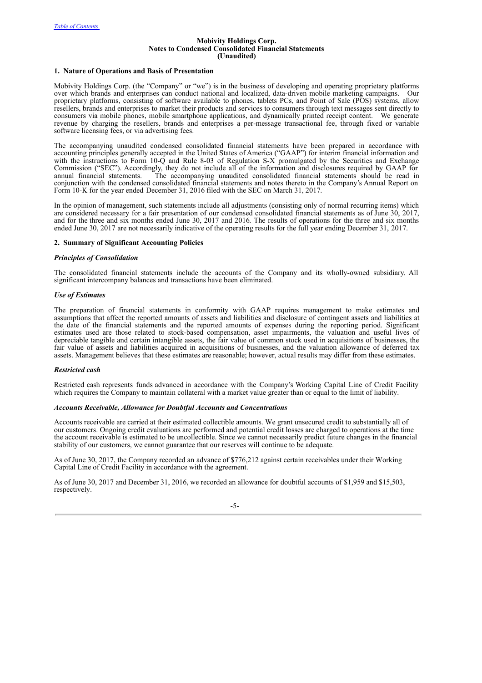#### **Mobivity Holdings Corp. Notes to Condensed Consolidated Financial Statements (Unaudited)**

## **1. Nature of Operations and Basis of Presentation**

Mobivity Holdings Corp. (the "Company" or "we") is in the business of developing and operating proprietary platforms over which brands and enterprises can conduct national and localized, data-driven mobile marketing campaigns. Our proprietary platforms, consisting of software available to phones, tablets PCs, and Point of Sale (POS) systems, allow resellers, brands and enterprises to market their products and services to consumers through text messages sent directly to consumers via mobile phones, mobile smartphone applications, and dynamically printed receipt content. We generate revenue by charging the resellers, brands and enterprises a per-message transactional fee, through fixed or variable software licensing fees, or via advertising fees.

The accompanying unaudited condensed consolidated financial statements have been prepared in accordance with accounting principles generally accepted in the United States of America ("GAAP") for interim financial information and with the instructions to Form 10-Q and Rule 8-03 of Regulation S-X promulgated by the Securities and Exchange Commission ("SEC"). Accordingly, they do not include all of the information and disclosures required by GAAP for annual financial statements. The accompanying unaudited consolidated financial statements should be read in conjunction with the condensed consolidated financial statements and notes thereto in the Company's Annual Report on Form 10-K for the year ended December 31, 2016 filed with the SEC on March 31, 2017.

In the opinion of management, such statements include all adjustments (consisting only of normal recurring items) which are considered necessary for a fair presentation of our condensed consolidated financial statements as of June 30, 2017, and for the three and six months ended June 30, 2017 and 2016. The results of operations for the three and six months ended June 30, 2017 are not necessarily indicative of the operating results for the full year ending December 31, 2017.

## **2. Summary of Significant Accounting Policies**

## *Principles of Consolidation*

The consolidated financial statements include the accounts of the Company and its wholly-owned subsidiary. All significant intercompany balances and transactions have been eliminated.

## *Use of Estimates*

The preparation of financial statements in conformity with GAAP requires management to make estimates and assumptions that affect the reported amounts of assets and liabilities and disclosure of contingent assets and liabilities at the date of the financial statements and the reported amounts of expenses during the reporting period. Significant estimates used are those related to stock-based compensation, asset impairments, the valuation and useful lives of depreciable tangible and certain intangible assets, the fair value of common stock used in acquisitions of businesses, the fair value of assets and liabilities acquired in acquisitions of businesses, and the valuation allowance of deferred tax assets. Management believes that these estimates are reasonable; however, actual results may differ from these estimates.

## *Restricted cash*

Restricted cash represents funds advanced in accordance with the Company's Working Capital Line of Credit Facility which requires the Company to maintain collateral with a market value greater than or equal to the limit of liability.

## *Accounts Receivable, Allowance for Doubtful Accounts and Concentrations*

Accounts receivable are carried at their estimated collectible amounts. We grant unsecured credit to substantially all of our customers. Ongoing credit evaluations are performed and potential credit losses are charged to operations at the time the account receivable is estimated to be uncollectible. Since we cannot necessarily predict future changes in the financial stability of our customers, we cannot guarantee that our reserves will continue to be adequate.

As of June 30, 2017, the Company recorded an advance of \$776,212 against certain receivables under their Working Capital Line of Credit Facility in accordance with the agreement.

As of June 30, 2017 and December 31, 2016, we recorded an allowance for doubtful accounts of \$1,959 and \$15,503, respectively.

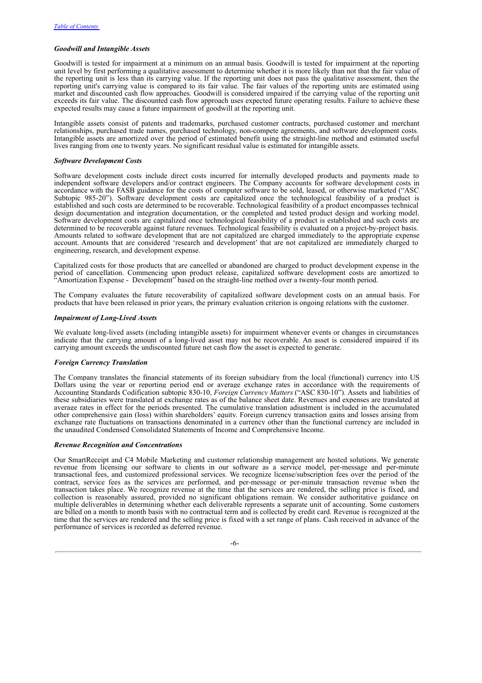## *Goodwill and Intangible Assets*

Goodwill is tested for impairment at a minimum on an annual basis. Goodwill is tested for impairment at the reporting unit level by first performing a qualitative assessment to determine whether it is more likely than not that the fair value of the reporting unit is less than its carrying value. If the reporting unit does not pass the qualitative assessment, then the reporting unit's carrying value is compared to its fair value. The fair values of the reporting units are estimated using market and discounted cash flow approaches. Goodwill is considered impaired if the carrying value of the reporting unit exceeds its fair value. The discounted cash flow approach uses expected future operating results. Failure to achieve these expected results may cause a future impairment of goodwill at the reporting unit.

Intangible assets consist of patents and trademarks, purchased customer contracts, purchased customer and merchant relationships, purchased trade names, purchased technology, non-compete agreements, and software development costs. Intangible assets are amortized over the period of estimated benefit using the straight-line method and estimated useful lives ranging from one to twenty years. No significant residual value is estimated for intangible assets.

## *Software Development Costs*

Software development costs include direct costs incurred for internally developed products and payments made to independent software developers and/or contract engineers. The Company accounts for software development costs in accordance with the FASB guidance for the costs of computer software to be sold, leased, or otherwise marketed ("ASC Subtopic 985-20"). Software development costs are capitalized once the technological feasibility of a product is established and such costs are determined to be recoverable. Technological feasibility of a product encompasses technical design documentation and integration documentation, or the completed and tested product design and working model. Software development costs are capitalized once technological feasibility of a product is established and such costs are determined to be recoverable against future revenues. Technological feasibility is evaluated on a project-by-project basis. Amounts related to software development that are not capitalized are charged immediately to the appropriate expense account. Amounts that are considered 'research and development' that are not capitalized are immediately charged to engineering, research, and development expense.

Capitalized costs for those products that are cancelled or abandoned are charged to product development expense in the period of cancellation. Commencing upon product release, capitalized software development costs are amortized to "Amortization Expense - Development" based on the straight-line method over a twenty-four month period.

The Company evaluates the future recoverability of capitalized software development costs on an annual basis. For products that have been released in prior years, the primary evaluation criterion is ongoing relations with the customer.

#### *Impairment of Long-Lived Assets*

We evaluate long-lived assets (including intangible assets) for impairment whenever events or changes in circumstances indicate that the carrying amount of a long-lived asset may not be recoverable. An asset is considered impaired if its carrying amount exceeds the undiscounted future net cash flow the asset is expected to generate.

## *Foreign Currency Translation*

The Company translates the financial statements of its foreign subsidiary from the local (functional) currency into US Dollars using the year or reporting period end or average exchange rates in accordance with the requirements of Accounting Standards Codification subtopic 830-10, *Foreign Currency Matters* ("ASC 830-10")*.* Assets and liabilities of these subsidiaries were translated at exchange rates as of the balance sheet date. Revenues and expenses are translated at average rates in effect for the periods presented. The cumulative translation adjustment is included in the accumulated other comprehensive gain (loss) within shareholders' equity. Foreign currency transaction gains and losses arising from exchange rate fluctuations on transactions denominated in a currency other than the functional currency are included in the unaudited Condensed Consolidated Statements of Income and Comprehensive Income.

## *Revenue Recognition and Concentrations*

Our SmartReceipt and C4 Mobile Marketing and customer relationship management are hosted solutions. We generate revenue from licensing our software to clients in our software as a service model, per-message and per-minute transactional fees, and customized professional services. We recognize license/subscription fees over the period of the contract, service fees as the services are performed, and per-message or per-minute transaction revenue when the transaction takes place. We recognize revenue at the time that the services are rendered, the selling price is fixed, and collection is reasonably assured, provided no significant obligations remain. We consider authoritative guidance on multiple deliverables in determining whether each deliverable represents a separate unit of accounting. Some customers are billed on a month to month basis with no contractual term and is collected by credit card. Revenue is recognized at the time that the services are rendered and the selling price is fixed with a set range of plans. Cash received in advance of the performance of services is recorded as deferred revenue.

-6-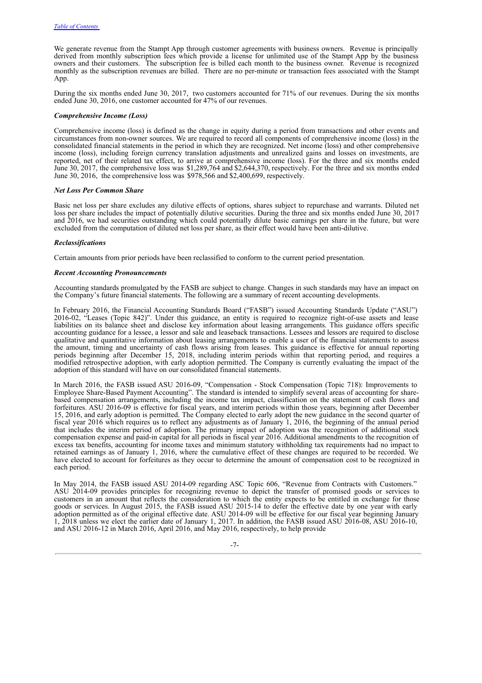We generate revenue from the Stampt App through customer agreements with business owners. Revenue is principally derived from monthly subscription fees which provide a license for unlimited use of the Stampt App by the business owners and their customers. The subscription fee is billed each month to the business owner. Revenue is recognized monthly as the subscription revenues are billed. There are no per-minute or transaction fees associated with the Stampt App.

During the six months ended June 30, 2017, two customers accounted for 71% of our revenues. During the six months ended June 30, 2016, one customer accounted for 47% of our revenues.

## *Comprehensive Income (Loss)*

Comprehensive income (loss) is defined as the change in equity during a period from transactions and other events and circumstances from non-owner sources. We are required to record all components of comprehensive income (loss) in the consolidated financial statements in the period in which they are recognized. Net income (loss) and other comprehensive income (loss), including foreign currency translation adjustments and unrealized gains and losses on investments, are reported, net of their related tax effect, to arrive at comprehensive income (loss). For the three and six months ended June 30, 2017, the comprehensive loss was \$1,289,764 and \$2,644,370, respectively. For the three and six months ended June 30, 2016, the comprehensive loss was \$978,566 and \$2,400,699, respectively.

## *Net Loss Per Common Share*

Basic net loss per share excludes any dilutive effects of options, shares subject to repurchase and warrants. Diluted net loss per share includes the impact of potentially dilutive securities. During the three and six months ended June 30, 2017 and 2016, we had securities outstanding which could potentially dilute basic earnings per share in the future, but were excluded from the computation of diluted net loss per share, as their effect would have been anti-dilutive.

## *Reclassifications*

Certain amounts from prior periods have been reclassified to conform to the current period presentation.

## *Recent Accounting Pronouncements*

Accounting standards promulgated by the FASB are subject to change. Changes in such standards may have an impact on the Company's future financial statements. The following are a summary of recent accounting developments.

In February 2016, the Financial Accounting Standards Board ("FASB") issued Accounting Standards Update ("ASU") 2016-02, "Leases (Topic 842)". Under this guidance, an entity is required to recognize right-of-use assets and lease liabilities on its balance sheet and disclose key information about leasing arrangements. This guidance offers specific accounting guidance for a lessee, a lessor and sale and leaseback transactions. Lessees and lessors are required to disclose qualitative and quantitative information about leasing arrangements to enable a user of the financial statements to assess the amount, timing and uncertainty of cash flows arising from leases. This guidance is effective for annual reporting periods beginning after December 15, 2018, including interim periods within that reporting period, and requires a modified retrospective adoption, with early adoption permitted. The Company is currently evaluating the impact of the adoption of this standard will have on our consolidated financial statements.

In March 2016, the FASB issued ASU 2016-09, "Compensation - Stock Compensation (Topic 718): Improvements to Employee Share-Based Payment Accounting". The standard is intended to simplify several areas of accounting for sharebased compensation arrangements, including the income tax impact, classification on the statement of cash flows and forfeitures. ASU 2016-09 is effective for fiscal years, and interim periods within those years, beginning after December 15, 2016, and early adoption is permitted. The Company elected to early adopt the new guidance in the second quarter of fiscal year 2016 which requires us to reflect any adjustments as of January 1, 2016, the beginning of the annual period that includes the interim period of adoption. The primary impact of adoption was the recognition of additional stock compensation expense and paid-in capital for all periods in fiscal year 2016. Additional amendments to the recognition of excess tax benefits, accounting for income taxes and minimum statutory withholding tax requirements had no impact to retained earnings as of January 1, 2016, where the cumulative effect of these changes are required to be recorded. We have elected to account for forfeitures as they occur to determine the amount of compensation cost to be recognized in each period.

In May 2014, the FASB issued ASU 2014-09 regarding ASC Topic 606, "Revenue from Contracts with Customers." ASU 2014-09 provides principles for recognizing revenue to depict the transfer of promised goods or services to customers in an amount that reflects the consideration to which the entity expects to be entitled in exchange for those goods or services. In August 2015, the FASB issued ASU 2015-14 to defer the effective date by one year with early adoption permitted as of the original effective date. ASU 2014-09 will be effective for our fiscal year beginning January 1, 2018 unless we elect the earlier date of January 1, 2017. In addition, the FASB issued ASU 2016-08, ASU 2016-10, and ASU 2016-12 in March 2016, April 2016, and May 2016, respectively, to help provide

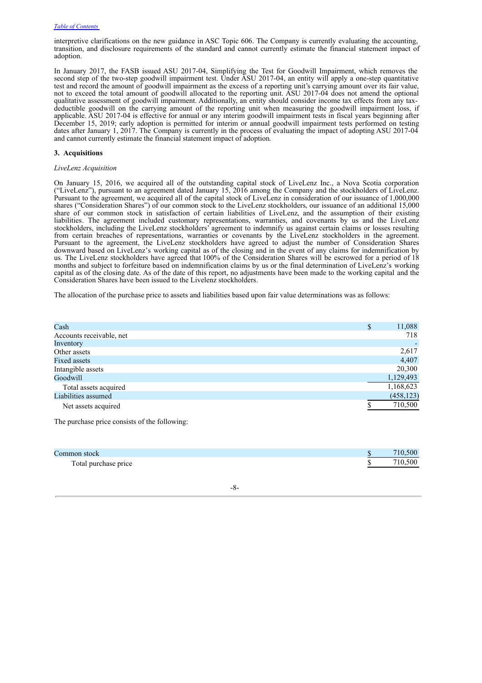interpretive clarifications on the new guidance in ASC Topic 606. The Company is currently evaluating the accounting, transition, and disclosure requirements of the standard and cannot currently estimate the financial statement impact of adoption.

In January 2017, the FASB issued ASU 2017-04, Simplifying the Test for Goodwill Impairment, which removes the second step of the two-step goodwill impairment test. Under ASU 2017-04, an entity will apply a one-step quantitative test and record the amount of goodwill impairment as the excess of a reporting unit's carrying amount over its fair value, not to exceed the total amount of goodwill allocated to the reporting unit. ASU 2017-04 does not amend the optional qualitative assessment of goodwill impairment. Additionally, an entity should consider income tax effects from any taxdeductible goodwill on the carrying amount of the reporting unit when measuring the goodwill impairment loss, if applicable. ASU 2017-04 is effective for annual or any interim goodwill impairment tests in fiscal years beginning after December 15, 2019; early adoption is permitted for interim or annual goodwill impairment tests performed on testing dates after January 1, 2017. The Company is currently in the process of evaluating the impact of adopting ASU 2017-04 and cannot currently estimate the financial statement impact of adoption.

## **3. Acquisitions**

## *LiveLenz Acquisition*

On January 15, 2016, we acquired all of the outstanding capital stock of LiveLenz Inc., a Nova Scotia corporation ("LiveLenz"), pursuant to an agreement dated January 15, 2016 among the Company and the stockholders of LiveLenz. Pursuant to the agreement, we acquired all of the capital stock of LiveLenz in consideration of our issuance of 1,000,000 shares ("Consideration Shares") of our common stock to the LiveLenz stockholders, our issuance of an additional 15,000 share of our common stock in satisfaction of certain liabilities of LiveLenz, and the assumption of their existing liabilities. The agreement included customary representations, warranties, and covenants by us and the LiveLenz stockholders, including the LiveLenz stockholders' agreement to indemnify us against certain claims or losses resulting from certain breaches of representations, warranties or covenants by the LiveLenz stockholders in the agreement. Pursuant to the agreement, the LiveLenz stockholders have agreed to adjust the number of Consideration Shares downward based on LiveLenz's working capital as of the closing and in the event of any claims for indemnification by us. The LiveLenz stockholders have agreed that 100% of the Consideration Shares will be escrowed for a period of 18 months and subject to forfeiture based on indemnification claims by us or the final determination of LiveLenz's working capital as of the closing date. As of the date of this report, no adjustments have been made to the working capital and the Consideration Shares have been issued to the Livelenz stockholders.

The allocation of the purchase price to assets and liabilities based upon fair value determinations was as follows:

| Cash                     | \$<br>11,088 |
|--------------------------|--------------|
| Accounts receivable, net | 718          |
| Inventory                |              |
| Other assets             | 2,617        |
| Fixed assets             | 4,407        |
| Intangible assets        | 20,300       |
| Goodwill                 | 1,129,493    |
| Total assets acquired    | 1,168,623    |
| Liabilities assumed      | (458, 123)   |
| Net assets acquired      | 710,500      |

The purchase price consists of the following:

| Common stock         | 710.500 |
|----------------------|---------|
| Total purchase price | 10.500  |

## -8-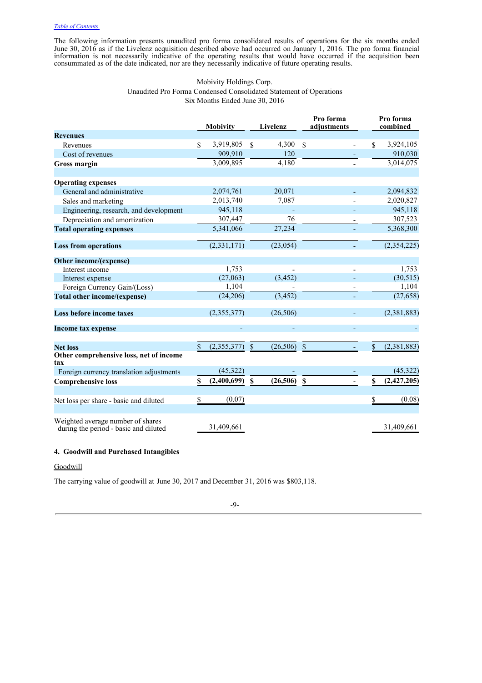The following information presents unaudited pro forma consolidated results of operations for the six months ended June 30, 2016 as if the Livelenz acquisition described above had occurred on January 1, 2016. The pro forma financial information is not necessarily indicative of the operating results that would have occurred if the acquisition been consummated as of the date indicated, nor are they necessarily indicative of future operating results.

## Mobivity Holdings Corp. Unaudited Pro Forma Condensed Consolidated Statement of Operations Six Months Ended June 30, 2016

|                                                                            | <b>Mobivity</b>          |                    | Livelenz  | Pro forma<br>adjustments |     | Pro forma<br>combined |
|----------------------------------------------------------------------------|--------------------------|--------------------|-----------|--------------------------|-----|-----------------------|
| <b>Revenues</b>                                                            |                          |                    |           |                          |     |                       |
| Revenues                                                                   | \$<br>3,919,805          | $\mathcal{S}$      | 4,300     | $\mathbb{S}$             | \$. | 3,924,105             |
| Cost of revenues                                                           | 909,910                  |                    | 120       |                          |     | 910,030               |
| Gross margin                                                               | 3,009,895                |                    | 4,180     |                          |     | 3,014,075             |
|                                                                            |                          |                    |           |                          |     |                       |
| <b>Operating expenses</b>                                                  |                          |                    |           |                          |     |                       |
| General and administrative                                                 | 2,074,761                |                    | 20,071    |                          |     | 2,094,832             |
| Sales and marketing                                                        | 2,013,740                |                    | 7,087     |                          |     | 2,020,827             |
| Engineering, research, and development                                     | 945,118                  |                    |           |                          |     | 945,118               |
| Depreciation and amortization                                              | 307,447                  |                    | 76        |                          |     | 307,523               |
| <b>Total operating expenses</b>                                            | 5,341,066                |                    | 27,234    |                          |     | 5,368,300             |
| <b>Loss from operations</b>                                                | $(2,33\overline{1,171})$ |                    | (23, 054) |                          |     | (2, 354, 225)         |
| Other income/(expense)                                                     |                          |                    |           |                          |     |                       |
| Interest income                                                            | 1,753                    |                    |           |                          |     | 1,753                 |
| Interest expense                                                           | (27,063)                 |                    | (3, 452)  |                          |     | (30,515)              |
| Foreign Currency Gain/(Loss)                                               | 1,104                    |                    |           |                          |     | 1,104                 |
| Total other income/(expense)                                               | (24, 206)                |                    | (3, 452)  |                          |     | (27, 658)             |
| Loss before income taxes                                                   | (2,355,377)              |                    | (26, 506) |                          |     | (2,381,883)           |
| Income tax expense                                                         |                          |                    |           |                          |     |                       |
| <b>Net loss</b>                                                            | \$<br>(2,355,377)        | $\mathbf{\hat{S}}$ | (26, 506) | $\mathbb{S}$             | \$  | (2,381,883)           |
| Other comprehensive loss, net of income<br>tax                             |                          |                    |           |                          |     |                       |
| Foreign currency translation adjustments                                   | (45, 322)                |                    |           |                          |     | (45, 322)             |
| <b>Comprehensive loss</b>                                                  | (2,400,699)              | $\mathbf S$        | (26, 506) | $\mathbf S$              |     | (2,427,205)           |
| Net loss per share - basic and diluted                                     | \$<br>(0.07)             |                    |           |                          | \$  | (0.08)                |
| Weighted average number of shares<br>during the period - basic and diluted | 31,409,661               |                    |           |                          |     | 31,409,661            |

## **4. Goodwill and Purchased Intangibles**

## **Goodwill**

The carrying value of goodwill at June 30, 2017 and December 31, 2016 was \$803,118.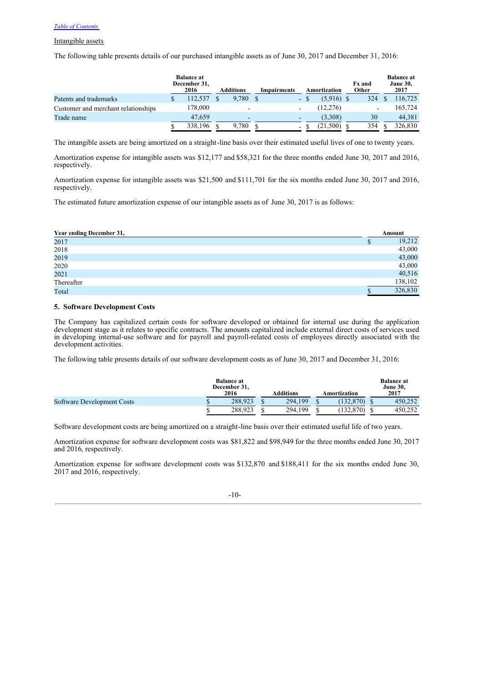## Intangible assets

The following table presents details of our purchased intangible assets as of June 30, 2017 and December 31, 2016:

|                                     | <b>Balance at</b><br>December 31,<br>2016 | <b>Additions</b> | Impairments |    | Amortization | <b>Fx</b> and<br>Other   | <b>Balance</b> at<br><b>June 30,</b><br>2017 |
|-------------------------------------|-------------------------------------------|------------------|-------------|----|--------------|--------------------------|----------------------------------------------|
| Patents and trademarks              | 112.537                                   | 9,780            |             | ۰. | $(5.916)$ \$ | 324                      | 116,725                                      |
| Customer and merchant relationships | 178.000                                   | -                |             | ۰  | (12, 276)    | $\overline{\phantom{0}}$ | 165,724                                      |
| Trade name                          | 47,659                                    | -                |             | -  | (3,308)      | 30                       | 44,381                                       |
|                                     | 338,196                                   | 9,780            |             | ۰. | (21.500)     | 354                      | 326,830                                      |

The intangible assets are being amortized on a straight-line basis over their estimated useful lives of one to twenty years.

Amortization expense for intangible assets was \$12,177 and \$58,321 for the three months ended June 30, 2017 and 2016, respectively.

Amortization expense for intangible assets was \$21,500 and \$111,701 for the six months ended June 30, 2017 and 2016, respectively.

The estimated future amortization expense of our intangible assets as of June 30, 2017 is as follows:

| Year ending December 31, |   | Amount  |
|--------------------------|---|---------|
| 2017                     | ъ | 19,212  |
| 2018                     |   | 43,000  |
| 2019                     |   | 43,000  |
| 2020                     |   | 43,000  |
| 2021                     |   | 40,516  |
| Thereafter               |   | 138,102 |
| Total                    |   | 326,830 |

## **5. Software Development Costs**

The Company has capitalized certain costs for software developed or obtained for internal use during the application development stage as it relates to specific contracts. The amounts capitalized include external direct costs of services used in developing internal-use software and for payroll and payroll-related costs of employees directly associated with the development activities.

The following table presents details of our software development costs as of June 30, 2017 and December 31, 2016:

|                            | <b>Balance at</b><br>December 31,<br>2016 | <b>Additions</b> | Amortization | <b>Balance at</b><br><b>June 30,</b><br>2017 |
|----------------------------|-------------------------------------------|------------------|--------------|----------------------------------------------|
| Software Development Costs | 288,923                                   | 294.199          | (132.870)    | 450.252                                      |
|                            | 288,923                                   | 294.199          | 132,870)     | 450.252                                      |

Software development costs are being amortized on a straight-line basis over their estimated useful life of two years.

Amortization expense for software development costs was \$81,822 and \$98,949 for the three months ended June 30, 2017 and 2016, respectively.

Amortization expense for software development costs was \$132,870 and \$188,411 for the six months ended June 30, 2017 and 2016, respectively.

## -10-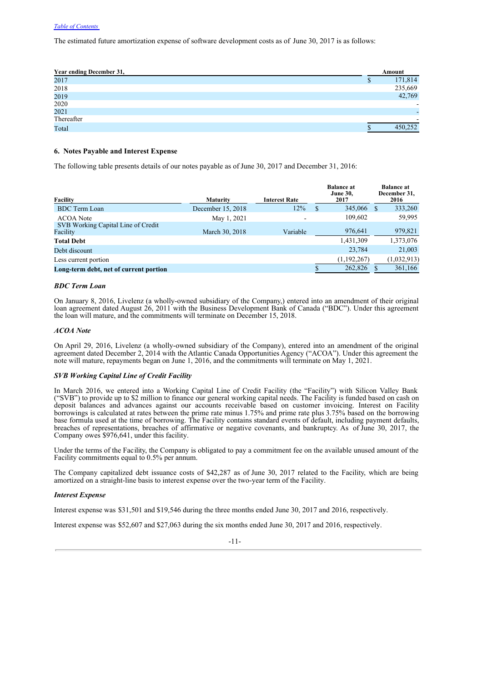The estimated future amortization expense of software development costs as of June 30, 2017 is as follows:

| Year ending December 31, |   | Amount                   |
|--------------------------|---|--------------------------|
| 2017                     | D | 171,814                  |
| 2018                     |   | 235,669                  |
| 2019                     |   | 42,769                   |
| 2020                     |   |                          |
| 2021                     |   | $\overline{\phantom{0}}$ |
| Thereafter               |   |                          |
| Total                    |   | 450,252                  |

## **6. Notes Payable and Interest Expense**

The following table presents details of our notes payable as of June 30, 2017 and December 31, 2016:

| Facility                                       | <b>Maturity</b>   | <b>Interest Rate</b>     | <b>Balance at</b><br><b>June 30,</b><br>2017 |      | <b>Balance at</b><br>December 31,<br>2016 |
|------------------------------------------------|-------------------|--------------------------|----------------------------------------------|------|-------------------------------------------|
| <b>BDC</b> Term Loan                           | December 15, 2018 | 12%                      | \$<br>345,066                                | - \$ | 333,260                                   |
| <b>ACOA</b> Note                               | May 1, 2021       | $\overline{\phantom{a}}$ | 109,602                                      |      | 59,995                                    |
| SVB Working Capital Line of Credit<br>Facility | March 30, 2018    | Variable                 | 976.641                                      |      | 979,821                                   |
| <b>Total Debt</b>                              |                   |                          | 1,431,309                                    |      | 1,373,076                                 |
| Debt discount                                  |                   |                          | 23,784                                       |      | 21,003                                    |
| Less current portion                           |                   |                          | (1,192,267)                                  |      | (1,032,913)                               |
| Long-term debt, net of current portion         |                   |                          | 262,826                                      |      | 361,166                                   |

## *BDC Term Loan*

On January 8, 2016, Livelenz (a wholly-owned subsidiary of the Company,) entered into an amendment of their original loan agreement dated August 26, 2011 with the Business Development Bank of Canada ("BDC"). Under this agreement the loan will mature, and the commitments will terminate on December 15, 2018.

## *ACOA Note*

On April 29, 2016, Livelenz (a wholly-owned subsidiary of the Company), entered into an amendment of the original agreement dated December 2, 2014 with the Atlantic Canada Opportunities Agency ("ACOA"). Under this agreement the note will mature, repayments began on June 1, 2016, and the commitments will terminate on May 1, 2021.

## *SVB Working Capital Line of Credit Facility*

In March 2016, we entered into a Working Capital Line of Credit Facility (the "Facility") with Silicon Valley Bank ("SVB") to provide up to \$2 million to finance our general working capital needs. The Facility is funded based on cash on deposit balances and advances against our accounts receivable based on customer invoicing. Interest on Facility borrowings is calculated at rates between the prime rate minus 1.75% and prime rate plus 3.75% based on the borrowing base formula used at the time of borrowing. The Facility contains standard events of default, including payment defaults, breaches of representations, breaches of affirmative or negative covenants, and bankruptcy. As of June 30, 2017, the Company owes \$976,641, under this facility.

Under the terms of the Facility, the Company is obligated to pay a commitment fee on the available unused amount of the Facility commitments equal to 0.5% per annum.

The Company capitalized debt issuance costs of \$42,287 as of June 30, 2017 related to the Facility, which are being amortized on a straight-line basis to interest expense over the two-year term of the Facility.

## *Interest Expense*

Interest expense was \$31,501 and \$19,546 during the three months ended June 30, 2017 and 2016, respectively.

Interest expense was \$52,607 and \$27,063 during the six months ended June 30, 2017 and 2016, respectively.

-11-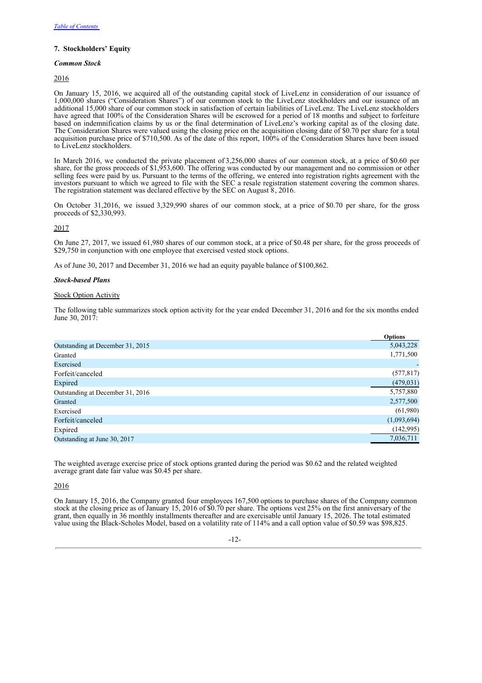## **7. Stockholders' Equity**

## *Common Stock*

2016

On January 15, 2016, we acquired all of the outstanding capital stock of LiveLenz in consideration of our issuance of 1,000,000 shares ("Consideration Shares") of our common stock to the LiveLenz stockholders and our issuance of an additional 15,000 share of our common stock in satisfaction of certain liabilities of LiveLenz. The LiveLenz stockholders have agreed that 100% of the Consideration Shares will be escrowed for a period of 18 months and subject to forfeiture based on indemnification claims by us or the final determination of LiveLenz's working capital as of the closing date. The Consideration Shares were valued using the closing price on the acquisition closing date of \$0.70 per share for a total acquisition purchase price of \$710,500. As of the date of this report, 100% of the Consideration Shares have been issued to LiveLenz stockholders.

In March 2016, we conducted the private placement of 3,256,000 shares of our common stock, at a price of \$0.60 per share, for the gross proceeds of \$1,953,600. The offering was conducted by our management and no commission or other selling fees were paid by us. Pursuant to the terms of the offering, we entered into registration rights agreement with the investors pursuant to which we agreed to file with the SEC a resale registration statement covering the common shares. The registration statement was declared effective by the SEC on August 8, 2016.

On October 31,2016, we issued 3,329,990 shares of our common stock, at a price of \$0.70 per share, for the gross proceeds of \$2,330,993.

2017

On June 27, 2017, we issued 61,980 shares of our common stock, at a price of \$0.48 per share, for the gross proceeds of \$29,750 in conjunction with one employee that exercised vested stock options.

As of June 30, 2017 and December 31, 2016 we had an equity payable balance of \$100,862.

## *Stock-based Plans*

## Stock Option Activity

The following table summarizes stock option activity for the year ended December 31, 2016 and for the six months ended June 30, 2017:

|                                  | <b>Options</b> |
|----------------------------------|----------------|
| Outstanding at December 31, 2015 | 5,043,228      |
| Granted                          | 1,771,500      |
| Exercised                        |                |
| Forfeit/canceled                 | (577, 817)     |
| Expired                          | (479, 031)     |
| Outstanding at December 31, 2016 | 5,757,880      |
| Granted                          | 2,577,500      |
| Exercised                        | (61,980)       |
| Forfeit/canceled                 | (1,093,694)    |
| Expired                          | (142, 995)     |
| Outstanding at June 30, 2017     | 7,036,711      |

The weighted average exercise price of stock options granted during the period was \$0.62 and the related weighted average grant date fair value was \$0.45 per share.

## 2016

On January 15, 2016, the Company granted four employees 167,500 options to purchase shares of the Company common stock at the closing price as of January 15, 2016 of \$0.70 per share. The options vest25% on the first anniversary of the grant, then equally in 36 monthly installments thereafter and are exercisable until January 15, 2026. The total estimated value using the Black-Scholes Model, based on a volatility rate of 114% and a call option value of \$0.59 was \$98,825.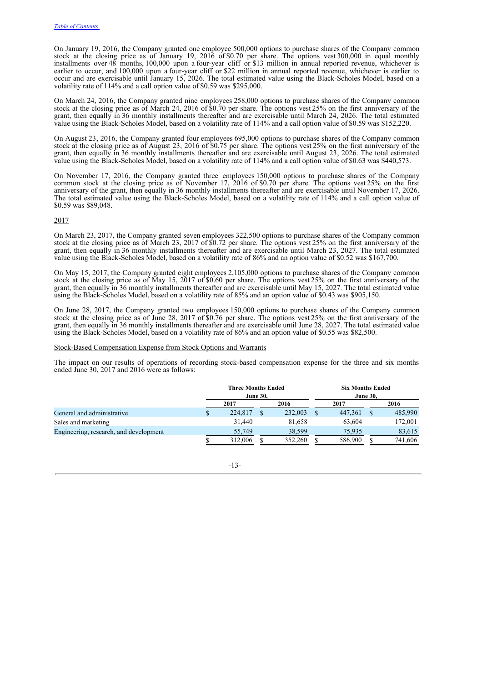On January 19, 2016, the Company granted one employee 500,000 options to purchase shares of the Company common stock at the closing price as of January 19, 2016 of \$0.70 per share. The options vest300,000 in equal monthly installments over 48 months, 100,000 upon a four-year cliff or \$13 million in annual reported revenue, whichever is earlier to occur, and 100,000 upon a four-year cliff or \$22 million in annual reported revenue, whichever is earlier to occur and are exercisable until January 15, 2026. The total estimated value using the Black-Scholes Model, based on a volatility rate of 114% and a call option value of \$0.59 was \$295,000.

On March 24, 2016, the Company granted nine employees 258,000 options to purchase shares of the Company common stock at the closing price as of March 24, 2016 of \$0.70 per share. The options vest25% on the first anniversary of the grant, then equally in 36 monthly installments thereafter and are exercisable until March 24, 2026. The total estimated value using the Black-Scholes Model, based on a volatility rate of 114% and a call option value of \$0.59 was \$152,220.

On August 23, 2016, the Company granted four employees 695,000 options to purchase shares of the Company common stock at the closing price as of August 23, 2016 of \$0.75 per share. The options vest25% on the first anniversary of the grant, then equally in 36 monthly installments thereafter and are exercisable until August 23, 2026. The total estimated value using the Black-Scholes Model, based on a volatility rate of 114% and a call option value of \$0.63 was \$440,573.

On November 17, 2016, the Company granted three employees 150,000 options to purchase shares of the Company common stock at the closing price as of November 17, 2016 of \$0.70 per share. The options vest25% on the first anniversary of the grant, then equally in 36 monthly installments thereafter and are exercisable until November 17, 2026. The total estimated value using the Black-Scholes Model, based on a volatility rate of 114% and a call option value of \$0.59 was \$89,048.

## 2017

On March 23, 2017, the Company granted seven employees 322,500 options to purchase shares of the Company common stock at the closing price as of March 23, 2017 of \$0.72 per share. The options vest25% on the first anniversary of the grant, then equally in 36 monthly installments thereafter and are exercisable until March 23, 2027. The total estimated value using the Black-Scholes Model, based on a volatility rate of 86% and an option value of \$0.52 was \$167,700.

On May 15, 2017, the Company granted eight employees 2,105,000 options to purchase shares of the Company common stock at the closing price as of May 15, 2017 of \$0.60 per share. The options vest25% on the first anniversary of the grant, then equally in 36 monthly installments thereafter and are exercisable until May 15, 2027. The total estimated value using the Black-Scholes Model, based on a volatility rate of 85% and an option value of \$0.43 was \$905,150.

On June 28, 2017, the Company granted two employees 150,000 options to purchase shares of the Company common stock at the closing price as of June 28, 2017 of \$0.76 per share. The options vest25% on the first anniversary of the grant, then equally in 36 monthly installments thereafter and are exercisable until June 28, 2027. The total estimated value using the Black-Scholes Model, based on a volatility rate of 86% and an option value of \$0.55 was \$82,500.

#### Stock-Based Compensation Expense from Stock Options and Warrants

The impact on our results of operations of recording stock-based compensation expense for the three and six months ended June 30, 2017 and 2016 were as follows:

|                                        | <b>Three Months Ended</b><br><b>June 30.</b> |  |         | <b>Six Months Ended</b><br><b>June 30,</b> |  |         |  |
|----------------------------------------|----------------------------------------------|--|---------|--------------------------------------------|--|---------|--|
|                                        | 2017                                         |  | 2016    | 2017                                       |  | 2016    |  |
| General and administrative             | 224,817                                      |  | 232,003 | 447.361                                    |  | 485,990 |  |
| Sales and marketing                    | 31,440                                       |  | 81,658  | 63,604                                     |  | 172,001 |  |
| Engineering, research, and development | 55,749                                       |  | 38.599  | 75.935                                     |  | 83,615  |  |
|                                        | 312,006                                      |  | 352,260 | 586,900                                    |  | 741,606 |  |

-13-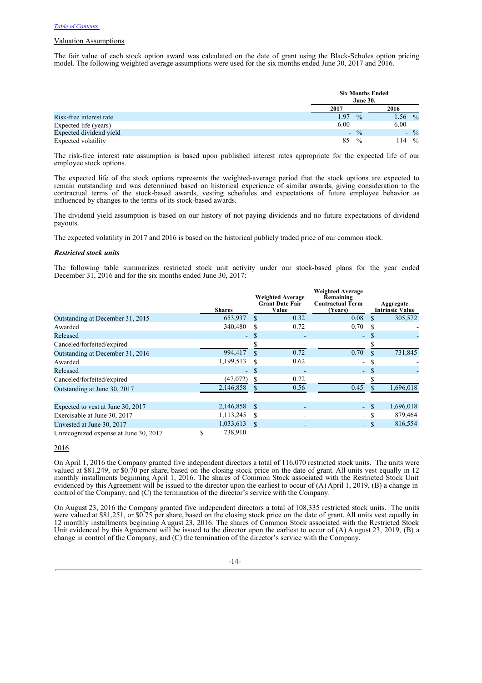## Valuation Assumptions

The fair value of each stock option award was calculated on the date of grant using the Black-Scholes option pricing model. The following weighted average assumptions were used for the six months ended June 30, 2017 and 2016.

|                         | <b>Six Months Ended</b><br><b>June 30,</b> |                       |
|-------------------------|--------------------------------------------|-----------------------|
|                         | 2017                                       | 2016                  |
| Risk-free interest rate | 1.97<br>$\frac{0}{0}$                      | 1.56<br>$\frac{0}{0}$ |
| Expected life (years)   | 6.00                                       | 6.00                  |
| Expected dividend yield | $\frac{0}{0}$<br>$\sim$                    | $-$ %                 |
| Expected volatility     | 85<br>$\frac{0}{0}$                        | 114<br>$\frac{0}{0}$  |

The risk-free interest rate assumption is based upon published interest rates appropriate for the expected life of our employee stock options.

The expected life of the stock options represents the weighted-average period that the stock options are expected to remain outstanding and was determined based on historical experience of similar awards, giving consideration to the contractual terms of the stock-based awards, vesting schedules and expectations of future employee behavior as influenced by changes to the terms of its stock-based awards.

The dividend yield assumption is based on our history of not paying dividends and no future expectations of dividend payouts.

The expected volatility in 2017 and 2016 is based on the historical publicly traded price of our common stock.

## *Restricted stock units*

The following table summarizes restricted stock unit activity under our stock-based plans for the year ended December 31, 2016 and for the six months ended June 30, 2017:

|                                       | <b>Shares</b> |               | <b>Weighted Average</b><br><b>Grant Date Fair</b><br>Value | <b>Weighted Average</b><br>Remaining<br><b>Contractual Term</b><br>(Years) |               | Aggregate<br><b>Intrinsic Value</b> |
|---------------------------------------|---------------|---------------|------------------------------------------------------------|----------------------------------------------------------------------------|---------------|-------------------------------------|
| Outstanding at December 31, 2015      | 653,937       | \$            | 0.32                                                       | 0.08                                                                       | $\mathcal{S}$ | 305,572                             |
| Awarded                               | 340,480       |               | 0.72                                                       | 0.70                                                                       | S             |                                     |
| Released                              | ٠             | S             |                                                            |                                                                            | - \$          |                                     |
| Canceled/forfeited/expired            |               | S             |                                                            | -                                                                          | S             |                                     |
| Outstanding at December 31, 2016      | 994,417       | $\mathcal{R}$ | 0.72                                                       | 0.70                                                                       |               | 731,845                             |
| Awarded                               | 1,199,513     | \$            | 0.62                                                       | $\blacksquare$                                                             | <sup>\$</sup> |                                     |
| Released                              | ۰             | S             |                                                            | $\blacksquare$                                                             | <sup>\$</sup> |                                     |
| Canceled/forfeited/expired            | (47,072)      | S.            | 0.72                                                       | -                                                                          | -S            |                                     |
| Outstanding at June 30, 2017          | 2,146,858     |               | 0.56                                                       | 0.45                                                                       | \$            | 1,696,018                           |
|                                       |               |               |                                                            |                                                                            |               |                                     |
| Expected to vest at June 30, 2017     | 2,146,858     | <b>S</b>      |                                                            |                                                                            | - \$          | 1,696,018                           |
| Exercisable at June 30, 2017          | 1,113,245     | S             | $\overline{\phantom{0}}$                                   | $\sim$                                                                     | -S            | 879,464                             |
| Unvested at June 30, 2017             | 1,033,613     | \$.           |                                                            |                                                                            | - \$          | 816,554                             |
| Unrecognized expense at June 30, 2017 | \$<br>738,910 |               |                                                            |                                                                            |               |                                     |

2016

On April 1, 2016 the Company granted five independent directors a total of 116,070 restricted stock units. The units were valued at \$81,249, or \$0.70 per share, based on the closing stock price on the date of grant. All units vest equally in 12 monthly installments beginning April 1, 2016. The shares of Common Stock associated with the Restricted Stock Unit evidenced by this Agreement will be issued to the director upon the earliest to occur of (A) April 1, 2019, (B) a change in control of the Company, and (C) the termination of the director's service with the Company.

On August 23, 2016 the Company granted five independent directors a total of 108,335 restricted stock units. The units were valued at \$81,251, or \$0.75 per share, based on the closing stock price on the date of grant. All units vest equally in 12 monthly installments beginning August 23, 2016. The shares of Common Stock associated with the Restricted Stock Unit evidenced by this Agreement will be issued to the director upon the earliest to occur of (A) A ugust 23, 2019, (B) a change in control of the Company, and (C) the termination of the director's service with the Company.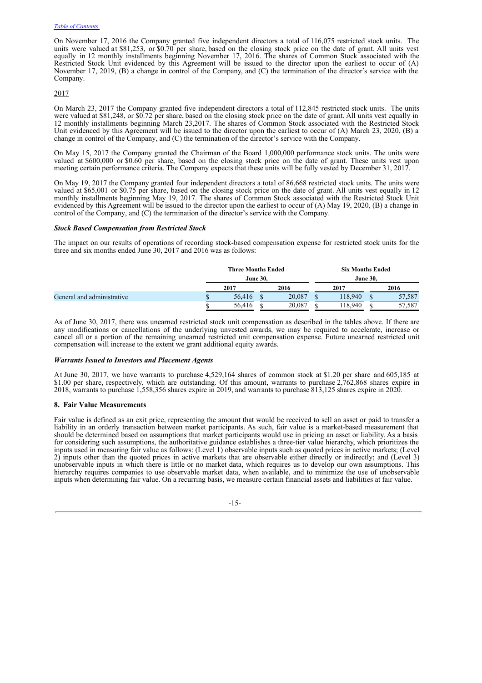On November 17, 2016 the Company granted five independent directors a total of 116,075 restricted stock units. The units were valued at \$81,253, or \$0.70 per share, based on the closing stock price on the date of grant. All units vest equally in 12 monthly installments beginning November 17, 2016. The shares of Common Stock associated with the Restricted Stock Unit evidenced by this Agreement will be issued to the director upon the earliest to occur of (A) November 17, 2019, (B) a change in control of the Company, and (C) the termination of the director's service with the Company.

## 2017

On March 23, 2017 the Company granted five independent directors a total of 112,845 restricted stock units. The units were valued at \$81,248, or \$0.72 per share, based on the closing stock price on the date of grant. All units vest equally in 12 monthly installments beginning March 23,2017. The shares of Common Stock associated with the Restricted Stock Unit evidenced by this Agreement will be issued to the director upon the earliest to occur of (A) March 23, 2020, (B) a change in control of the Company, and (C) the termination of the director's service with the Company.

On May 15, 2017 the Company granted the Chairman of the Board 1,000,000 performance stock units. The units were valued at \$600,000 or \$0.60 per share, based on the closing stock price on the date of grant. These units vest upon meeting certain performance criteria. The Company expects that these units will be fully vested by December 31, 2017.

On May 19, 2017 the Company granted four independent directors a total of 86,668 restricted stock units. The units were valued at \$65,001 or \$0.75 per share, based on the closing stock price on the date of grant. All units vest equally in 12 monthly installments beginning May 19, 2017. The shares of Common Stock associated with the Restricted Stock Unit evidenced by this Agreement will be issued to the director upon the earliest to occur of (A) May 19, 2020, (B) a change in control of the Company, and (C) the termination of the director's service with the Company.

#### *Stock Based Compensation from Restricted Stock*

The impact on our results of operations of recording stock-based compensation expense for restricted stock units for the three and six months ended June 30, 2017 and 2016 was as follows:

|                            |        | <b>Three Months Ended</b> | <b>Six Months Ended</b> |                 |  |  |
|----------------------------|--------|---------------------------|-------------------------|-----------------|--|--|
|                            |        | <b>June 30.</b>           |                         | <b>June 30.</b> |  |  |
|                            | 2017   | 2016                      | 2017                    | 2016            |  |  |
| General and administrative | 56,416 | 20.087                    | 118.940                 | 57.587          |  |  |
|                            | 56.416 | 20.087                    | 118,940                 | 57,587          |  |  |

As of June 30, 2017, there was unearned restricted stock unit compensation as described in the tables above. If there are any modifications or cancellations of the underlying unvested awards, we may be required to accelerate, increase or cancel all or a portion of the remaining unearned restricted unit compensation expense. Future unearned restricted unit compensation will increase to the extent we grant additional equity awards.

## *Warrants Issued to Investors and Placement Agents*

At June 30, 2017, we have warrants to purchase 4,529,164 shares of common stock at \$1.20 per share and 605,185 at \$1.00 per share, respectively, which are outstanding. Of this amount, warrants to purchase 2,762,868 shares expire in 2018, warrants to purchase 1,558,356 shares expire in 2019, and warrants to purchase 813,125 shares expire in 2020.

## **8. Fair Value Measurements**

Fair value is defined as an exit price, representing the amount that would be received to sell an asset or paid to transfer a liability in an orderly transaction between market participants. As such, fair value is a market-based measurement that should be determined based on assumptions that market participants would use in pricing an asset or liability. As a basis for considering such assumptions, the authoritative guidance establishes a three-tier value hierarchy, which prioritizes the inputs used in measuring fair value as follows: (Level 1) observable inputs such as quoted prices in active markets; (Level 2) inputs other than the quoted prices in active markets that are observable either directly or indirectly; and (Level 3) unobservable inputs in which there is little or no market data, which requires us to develop our own assumptions. This hierarchy requires companies to use observable market data, when available, and to minimize the use of unobservable inputs when determining fair value. On a recurring basis, we measure certain financial assets and liabilities at fair value.

## -15-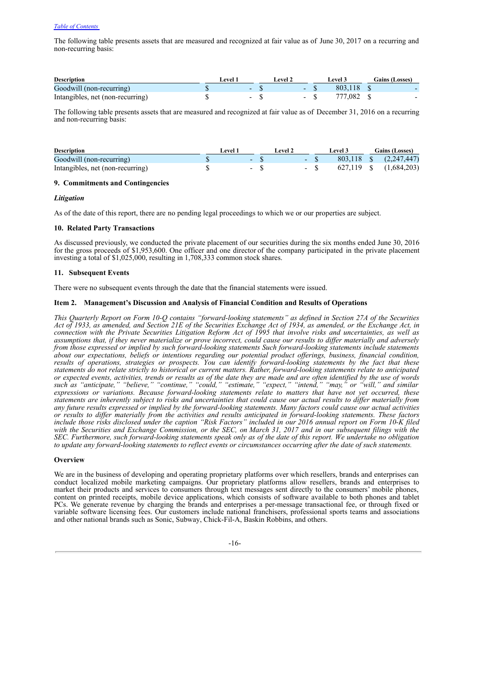The following table presents assets that are measured and recognized at fair value as of June 30, 2017 on a recurring and non-recurring basis:

| <b>Description</b>               | evel |                          | evel : |        | Level 3 | <b>Gains (Losses)</b> |
|----------------------------------|------|--------------------------|--------|--------|---------|-----------------------|
| Goodwill (non-recurring)         |      | $\overline{\phantom{0}}$ |        |        | 803.118 |                       |
| Intangibles, net (non-recurring) |      | $\overline{\phantom{0}}$ |        | $\sim$ | 777.082 |                       |

The following table presents assets that are measured and recognized at fair value as of December 31, 2016 on a recurring and non-recurring basis:

| <b>Description</b>               | Level 1 |       | Level 2 |           | <b>Level 3</b> | Gains (Losses)         |
|----------------------------------|---------|-------|---------|-----------|----------------|------------------------|
| Goodwill (non-recurring)         |         |       |         | $-8$      |                | 803,118 \$ (2,247,447) |
| Intangibles, net (non-recurring) |         | $-$ S |         | $-$ S $-$ |                | 627,119 \$ (1,684,203) |

## **9. Commitments and Contingencies**

## *Litigation*

As of the date of this report, there are no pending legal proceedings to which we or our properties are subject.

## **10. Related Party Transactions**

As discussed previously, we conducted the private placement of our securities during the six months ended June 30, 2016 for the gross proceeds of \$1,953,600. One officer and one directorof the company participated in the private placement investing a total of \$1,025,000, resulting in 1,708,333 common stock shares.

## **11. Subsequent Events**

There were no subsequent events through the date that the financial statements were issued.

## **Item 2. Management's Discussion and Analysis of Financial Condition and Results of Operations**

This Quarterly Report on Form 10-Q contains "forward-looking statements" as defined in Section 27A of the Securities Act of 1933, as amended, and Section 21E of the Securities Exchange Act of 1934, as amended, or the Exchange Act, in connection with the Private Securities Litigation Reform Act of 1995 that involve risks and uncertainties, as well as assumptions that, if they never materialize or prove incorrect, could cause our results to differ materially and adversely *from those expressed or implied by such forward-looking statements Such forward-looking statements include statements about our expectations, beliefs or intentions regarding our potential product of erings, business, financial condition,* results of operations, strategies or prospects. You can identify forward-looking statements by the fact that these statements do not relate strictly to historical or current matters. Rather, forward-looking statements relate to anticipated or expected events, activities, trends or results as of the date they are made and are often identified by the use of words *such as "anticipate," "believe," "continue," "could," "estimate," "expect," "intend," "may," or "will," and similar expressions or variations. Because forward-looking statements relate to matters that have not yet occurred, these* statements are inherently subject to risks and uncertainties that could cause our actual results to differ materially from any future results expressed or implied by the forward-looking statements. Many factors could cause our actual activities or results to differ materially from the activities and results anticipated in forward-looking statements. These factors include those risks disclosed under the caption "Risk Factors" included in our 2016 annual report on Form 10-K filed with the Securities and Exchange Commission, or the SEC, on March 31, 2017 and in our subsequent filings with the SEC. Furthermore, such forward-looking statements speak only as of the date of this report. We undertake no obligation to update any forward-looking statements to reflect events or circumstances occurring after the date of such statements.

## **Overview**

We are in the business of developing and operating proprietary platforms over which resellers, brands and enterprises can conduct localized mobile marketing campaigns. Our proprietary platforms allow resellers, brands and enterprises to market their products and services to consumers through text messages sent directly to the consumers' mobile phones, content on printed receipts, mobile device applications, which consists of software available to both phones and tablet PCs. We generate revenue by charging the brands and enterprises a per-message transactional fee, or through fixed or variable software licensing fees. Our customers include national franchisers, professional sports teams and associations and other national brands such as Sonic, Subway, Chick-Fil-A, Baskin Robbins, and others.

-16-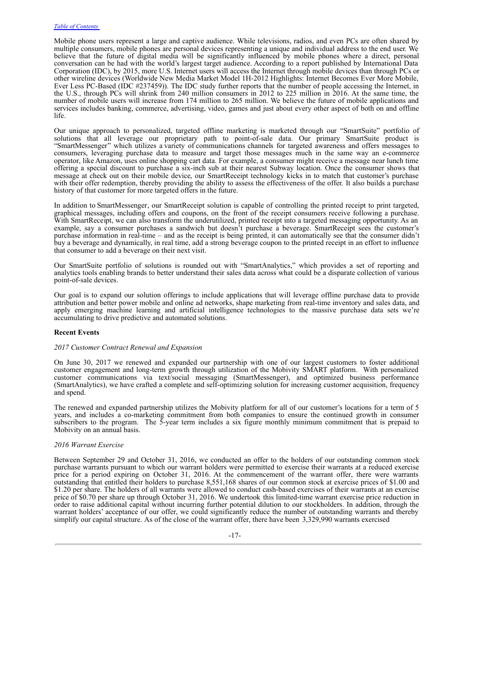Mobile phone users represent a large and captive audience. While televisions, radios, and even PCs are often shared by multiple consumers, mobile phones are personal devices representing a unique and individual address to the end user. We believe that the future of digital media will be significantly influenced by mobile phones where a direct, personal conversation can be had with the world's largest target audience. According to a report published by International Data Corporation (IDC), by 2015, more U.S. Internet users will access the Internet through mobile devices than through PCs or other wireline devices (Worldwide New Media Market Model 1H-2012 Highlights: Internet Becomes Ever More Mobile, Ever Less PC-Based (IDC #237459)). The IDC study further reports that the number of people accessing the Internet, in the U.S., through PCs will shrink from 240 million consumers in 2012 to 225 million in 2016. At the same time, the number of mobile users will increase from 174 million to 265 million. We believe the future of mobile applications and services includes banking, commerce, advertising, video, games and just about every other aspect of both on and offline life.

Our unique approach to personalized, targeted offline marketing is marketed through our "SmartSuite" portfolio of solutions that all leverage our proprietary path to point-of-sale data. Our primary SmartSuite product is "SmartMessenger" which utilizes a variety of communications channels for targeted awareness and offers messages to consumers, leveraging purchase data to measure and target those messages much in the same way an e-commerce operator, like Amazon, uses online shopping cart data. For example, a consumer might receive a message near lunch time offering a special discount to purchase a six-inch sub at their nearest Subway location. Once the consumer shows that message at check out on their mobile device, our SmartReceipt technology kicks in to match that customer's purchase with their offer redemption, thereby providing the ability to assess the effectiveness of the offer. It also builds a purchase history of that customer for more targeted offers in the future.

In addition to SmartMessenger, our SmartReceipt solution is capable of controlling the printed receipt to print targeted, graphical messages, including offers and coupons, on the front of the receipt consumers receive following a purchase. With SmartReceipt, we can also transform the underutilized, printed receipt into a targeted messaging opportunity. As an example, say a consumer purchases a sandwich but doesn't purchase a beverage. SmartReceipt sees the customer's purchase information in real-time – and as the receipt is being printed, it can automatically see that the consumer didn't buy a beverage and dynamically, in real time, add a strong beverage coupon to the printed receipt in an effort to influence that consumer to add a beverage on their next visit.

Our SmartSuite portfolio of solutions is rounded out with "SmartAnalytics," which provides a set of reporting and analytics tools enabling brands to better understand their sales data across what could be a disparate collection of various point-of-sale devices.

Our goal is to expand our solution offerings to include applications that will leverage offline purchase data to provide attribution and better power mobile and online ad networks, shape marketing from real-time inventory and sales data, and apply emerging machine learning and artificial intelligence technologies to the massive purchase data sets we're accumulating to drive predictive and automated solutions.

## **Recent Events**

## *2017 Customer Contract Renewal and Expansion*

On June 30, 2017 we renewed and expanded our partnership with one of our largest customers to foster additional customer engagement and long-term growth through utilization of the Mobivity SMART platform. With personalized customer communications via text/social messaging (SmartMessenger), and optimized business performance (SmartAnalytics), we have crafted a complete and self-optimizing solution for increasing customer acquisition, frequency and spend.

The renewed and expanded partnership utilizes the Mobivity platform for all of our customer's locations for a term of 5 years, and includes a co-marketing commitment from both companies to ensure the continued growth in consumer subscribers to the program. The 5-year term includes a six figure monthly minimum commitment that is prepaid to Mobivity on an annual basis.

## *2016 Warrant Exercise*

Between September 29 and October 31, 2016, we conducted an offer to the holders of our outstanding common stock purchase warrants pursuant to which our warrant holders were permitted to exercise their warrants at a reduced exercise price for a period expiring on October 31, 2016. At the commencement of the warrant offer, there were warrants outstanding that entitled their holders to purchase 8,551,168 shares of our common stock at exercise prices of \$1.00 and \$1.20 per share. The holders of all warrants were allowed to conduct cash-based exercises of their warrants at an exercise price of \$0.70 per share up through October 31, 2016. We undertook this limited-time warrant exercise price reduction in order to raise additional capital without incurring further potential dilution to our stockholders. In addition, through the warrant holders' acceptance of our offer, we could significantly reduce the number of outstanding warrants and thereby simplify our capital structure. As of the close of the warrant offer, there have been 3,329,990 warrants exercised

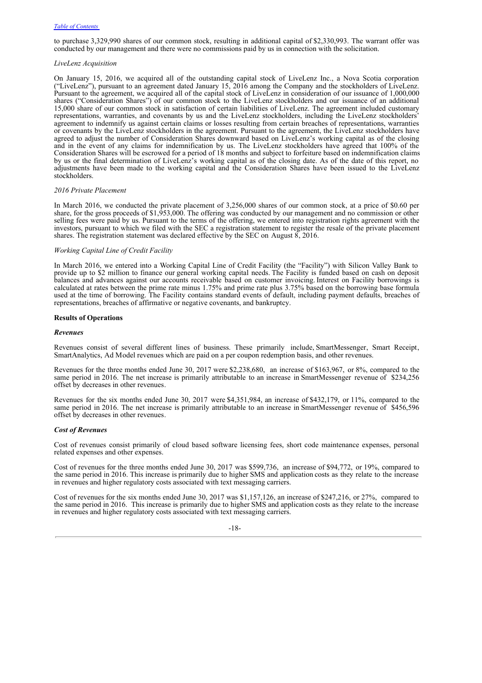to purchase 3,329,990 shares of our common stock, resulting in additional capital of \$2,330,993. The warrant offer was conducted by our management and there were no commissions paid by us in connection with the solicitation.

## *LiveLenz Acquisition*

On January 15, 2016, we acquired all of the outstanding capital stock of LiveLenz Inc., a Nova Scotia corporation ("LiveLenz"), pursuant to an agreement dated January 15, 2016 among the Company and the stockholders of LiveLenz. Pursuant to the agreement, we acquired all of the capital stock of LiveLenz in consideration of our issuance of 1,000,000 shares ("Consideration Shares") of our common stock to the LiveLenz stockholders and our issuance of an additional 15,000 share of our common stock in satisfaction of certain liabilities of LiveLenz. The agreement included customary representations, warranties, and covenants by us and the LiveLenz stockholders, including the LiveLenz stockholders' agreement to indemnify us against certain claims or losses resulting from certain breaches of representations, warranties or covenants by the LiveLenz stockholders in the agreement. Pursuant to the agreement, the LiveLenz stockholders have agreed to adjust the number of Consideration Shares downward based on LiveLenz's working capital as of the closing and in the event of any claims for indemnification by us. The LiveLenz stockholders have agreed that 100% of the Consideration Shares will be escrowed for a period of 18 months and subject to forfeiture based on indemnification claims by us or the final determination of LiveLenz's working capital as of the closing date. As of the date of this report, no adjustments have been made to the working capital and the Consideration Shares have been issued to the LiveLenz stockholders.

## *2016 Private Placement*

In March 2016, we conducted the private placement of 3,256,000 shares of our common stock, at a price of \$0.60 per share, for the gross proceeds of \$1,953,000. The offering was conducted by our management and no commission or other selling fees were paid by us. Pursuant to the terms of the offering, we entered into registration rights agreement with the investors, pursuant to which we filed with the SEC a registration statement to register the resale of the private placement shares. The registration statement was declared effective by the SEC on August 8, 2016.

#### *Working Capital Line of Credit Facility*

In March 2016, we entered into a Working Capital Line of Credit Facility (the "Facility") with Silicon Valley Bank to provide up to \$2 million to finance our general working capital needs. The Facility is funded based on cash on deposit balances and advances against our accounts receivable based on customer invoicing. Interest on Facility borrowings is calculated at rates between the prime rate minus 1.75% and prime rate plus 3.75% based on the borrowing base formula used at the time of borrowing. The Facility contains standard events of default, including payment defaults, breaches of representations, breaches of affirmative or negative covenants, and bankruptcy.

## **Results of Operations**

## *Revenues*

Revenues consist of several different lines of business. These primarily include, SmartMessenger, Smart Receipt, SmartAnalytics, Ad Model revenues which are paid on a per coupon redemption basis, and other revenues.

Revenues for the three months ended June 30, 2017 were \$2,238,680, an increase of \$163,967, or 8%, compared to the same period in 2016. The net increase is primarily attributable to an increase in SmartMessenger revenue of \$234,256 offset by decreases in other revenues.

Revenues for the six months ended June 30, 2017 were \$4,351,984, an increase of \$432,179, or 11%, compared to the same period in 2016. The net increase is primarily attributable to an increase in SmartMessenger revenue of \$456,596 offset by decreases in other revenues.

## *Cost of Revenues*

Cost of revenues consist primarily of cloud based software licensing fees, short code maintenance expenses, personal related expenses and other expenses.

Cost of revenues for the three months ended June 30, 2017 was \$599,736, an increase of \$94,772, or 19%, compared to the same period in 2016. This increase is primarily due to higher SMS and application costs as they relate to the increase in revenues and higher regulatory costs associated with text messaging carriers.

Cost of revenues for the six months ended June 30, 2017 was \$1,157,126, an increase of \$247,216, or 27%, compared to the same period in 2016. This increase is primarily due to higher SMS and application costs as they relate to the increase in revenues and higher regulatory costs associated with text messaging carriers.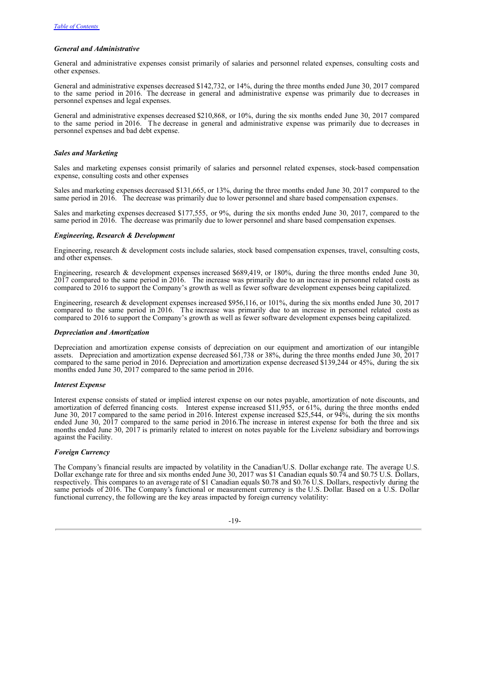## *General and Administrative*

General and administrative expenses consist primarily of salaries and personnel related expenses, consulting costs and other expenses.

General and administrative expenses decreased \$142,732, or 14%, during the three months ended June 30, 2017 compared to the same period in 2016. The decrease in general and administrative expense was primarily due to decreases in personnel expenses and legal expenses.

General and administrative expenses decreased \$210,868, or 10%, during the six months ended June 30, 2017 compared to the same period in 2016. The decrease in general and administrative expense was primarily due to decreases in personnel expenses and bad debt expense.

## *Sales and Marketing*

Sales and marketing expenses consist primarily of salaries and personnel related expenses, stock-based compensation expense, consulting costs and other expenses

Sales and marketing expenses decreased \$131,665, or 13%, during the three months ended June 30, 2017 compared to the same period in 2016. The decrease was primarily due to lower personnel and share based compensation expenses.

Sales and marketing expenses decreased \$177,555, or 9%, during the six months ended June 30, 2017, compared to the same period in 2016. The decrease was primarily due to lower personnel and share based compensation expenses.

## *Engineering, Research & Development*

Engineering, research & development costs include salaries, stock based compensation expenses, travel, consulting costs, and other expenses.

Engineering, research & development expenses increased \$689,419, or 180%, during the three months ended June 30, 2017 compared to the same period in 2016. The increase was primarily due to an increase in personnel related costs as compared to 2016 to support the Company's growth as well as fewer software development expenses being capitalized.

Engineering, research & development expenses increased \$956,116, or 101%, during the six months ended June 30, 2017 compared to the same period in 2016. The increase was primarily due to an increase in personnel related costs as compared to 2016 to support the Company's growth as well as fewer software development expenses being capitalized.

## *Depreciation and Amortization*

Depreciation and amortization expense consists of depreciation on our equipment and amortization of our intangible assets. Depreciation and amortization expense decreased \$61,738 or 38%, during the three months ended June 30, 2017 compared to the same period in 2016. Depreciation and amortization expense decreased \$139,244 or 45%, during the six months ended June 30, 2017 compared to the same period in 2016.

## *Interest Expense*

Interest expense consists of stated or implied interest expense on our notes payable, amortization of note discounts, and amortization of deferred financing costs. Interest expense increased \$11,955, or 61%, during the three months ended June 30, 2017 compared to the same period in 2016. Interest expense increased \$25,544, or 94%, during the six months ended June 30, 2017 compared to the same period in 2016.The increase in interest expense for both the three and six months ended June 30, 2017 is primarily related to interest on notes payable for the Livelenz subsidiary and borrowings against the Facility.

## *Foreign Currency*

The Company's financial results are impacted by volatility in the Canadian/U.S. Dollar exchange rate. The average U.S. Dollar exchange rate for three and six months ended June 30, 2017 was \$1 Canadian equals \$0.74 and \$0.75 U.S. Dollars, respectively. This compares to an average rate of \$1 Canadian equals \$0.78 and \$0.76 U.S. Dollars, respectivly during the same periods of 2016. The Company's functional or measurement currency is the U.S. Dollar. Based on a U.S. Dollar functional currency, the following are the key areas impacted by foreign currency volatility: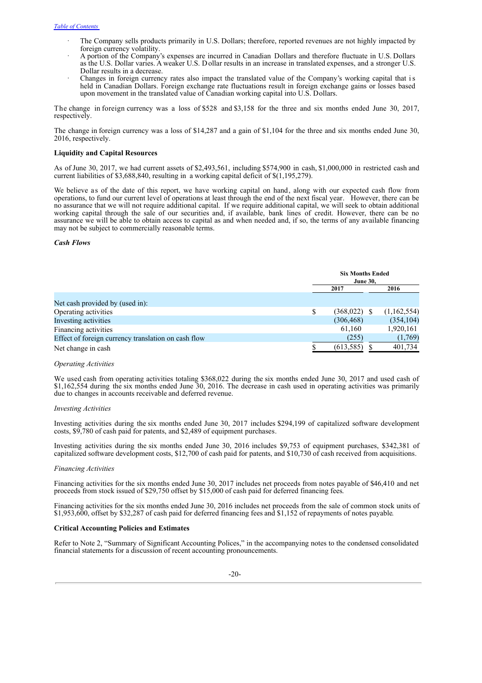- The Company sells products primarily in U.S. Dollars; therefore, reported revenues are not highly impacted by foreign currency volatility.
- · A portion of the Company's expenses are incurred in Canadian Dollars and therefore fluctuate in U.S. Dollars as the U.S. Dollar varies. A weaker U.S. Dollar results in an increase in translated expenses, and a stronger U.S. Dollar results in a decrease.
- · Changes in foreign currency rates also impact the translated value of the Company's working capital that is held in Canadian Dollars. Foreign exchange rate fluctuations result in foreign exchange gains or losses based upon movement in the translated value of Canadian working capital into U.S. Dollars.

The change in foreign currency was a loss of \$528 and \$3,158 for the three and six months ended June 30, 2017, respectively.

The change in foreign currency was a loss of \$14,287 and a gain of \$1,104 for the three and six months ended June 30, 2016, respectively.

## **Liquidity and Capital Resources**

As of June 30, 2017, we had current assets of \$2,493,561, including \$574,900 in cash, \$1,000,000 in restricted cash and current liabilities of \$3,688,840, resulting in a working capital deficit of \$(1,195,279).

We believe as of the date of this report, we have working capital on hand, along with our expected cash flow from operations, to fund our current level of operations at least through the end of the next fiscal year. However, there can be no assurance that we will not require additional capital. If we require additional capital, we will seek to obtain additional working capital through the sale of our securities and, if available, bank lines of credit. However, there can be no assurance we will be able to obtain access to capital as and when needed and, if so, the terms of any available financing may not be subject to commercially reasonable terms.

## *Cash Flows*

|                                                     | <b>Six Months Ended</b><br><b>June 30,</b> |  |             |
|-----------------------------------------------------|--------------------------------------------|--|-------------|
|                                                     | 2016<br>2017                               |  |             |
| Net cash provided by (used in):                     |                                            |  |             |
| Operating activities                                | $(368,022)$ \$                             |  | (1,162,554) |
| Investing activities                                | (306, 468)                                 |  | (354, 104)  |
| Financing activities                                | 61,160                                     |  | 1,920,161   |
| Effect of foreign currency translation on cash flow | (255)                                      |  | (1,769)     |
| Net change in cash                                  | (613,585)                                  |  | 401,734     |

#### *Operating Activities*

We used cash from operating activities totaling \$368,022 during the six months ended June 30, 2017 and used cash of \$1,162,554 during the six months ended June 30, 2016. The decrease in cash used in operating activities was primarily due to changes in accounts receivable and deferred revenue.

#### *Investing Activities*

Investing activities during the six months ended June 30, 2017 includes \$294,199 of capitalized software development costs, \$9,780 of cash paid for patents, and \$2,489 of equipment purchases.

Investing activities during the six months ended June 30, 2016 includes \$9,753 of equipment purchases, \$342,381 of capitalized software development costs, \$12,700 of cash paid for patents, and \$10,730 of cash received from acquisitions.

#### *Financing Activities*

Financing activities for the six months ended June 30, 2017 includes net proceeds from notes payable of \$46,410 and net proceeds from stock issued of \$29,750 offset by \$15,000 of cash paid for deferred financing fees.

Financing activities for the six months ended June 30, 2016 includes net proceeds from the sale of common stock units of \$1,953,600, offset by \$32,287 of cash paid for deferred financing fees and \$1,152 of repayments of notes payable.

## **Critical Accounting Policies and Estimates**

Refer to Note 2, "Summary of Significant Accounting Polices," in the accompanying notes to the condensed consolidated financial statements for a discussion of recent accounting pronouncements.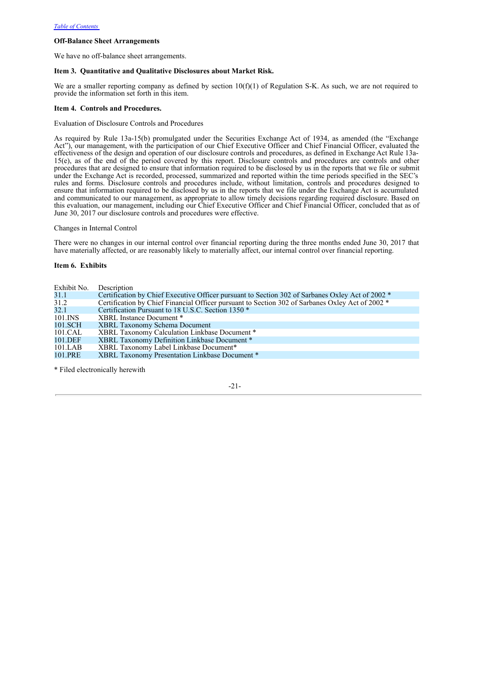## **Off-Balance Sheet Arrangements**

We have no off-balance sheet arrangements.

## **Item 3. Quantitative and Qualitative Disclosures about Market Risk.**

We are a smaller reporting company as defined by section  $10(f)(1)$  of Regulation S-K. As such, we are not required to provide the information set forth in this item.

## **Item 4. Controls and Procedures.**

Evaluation of Disclosure Controls and Procedures

As required by Rule 13a-15(b) promulgated under the Securities Exchange Act of 1934, as amended (the "Exchange Act"), our management, with the participation of our Chief Executive Officer and Chief Financial Officer, evaluated the effectiveness of the design and operation of our disclosure controls and procedures, as defined in Exchange Act Rule 13a-15(e), as of the end of the period covered by this report. Disclosure controls and procedures are controls and other procedures that are designed to ensure that information required to be disclosed by us in the reports that we file or submit under the Exchange Act is recorded, processed, summarized and reported within the time periods specified in the SEC's rules and forms. Disclosure controls and procedures include, without limitation, controls and procedures designed to ensure that information required to be disclosed by us in the reports that we file under the Exchange Act is accumulated and communicated to our management, as appropriate to allow timely decisions regarding required disclosure. Based on this evaluation, our management, including our Chief Executive Officer and Chief Financial Officer, concluded that as of June 30, 2017 our disclosure controls and procedures were effective.

Changes in Internal Control

There were no changes in our internal control over financial reporting during the three months ended June 30, 2017 that have materially affected, or are reasonably likely to materially affect, our internal control over financial reporting.

**Item 6. Exhibits**

| Exhibit No. | Description                                                                                      |
|-------------|--------------------------------------------------------------------------------------------------|
| 31.1        | Certification by Chief Executive Officer pursuant to Section 302 of Sarbanes Oxley Act of 2002 * |
| 31.2        | Certification by Chief Financial Officer pursuant to Section 302 of Sarbanes Oxley Act of 2002 * |
| 32.1        | Certification Pursuant to 18 U.S.C. Section 1350 *                                               |
| 101.INS     | XBRL Instance Document *                                                                         |
| 101.SCH     | <b>XBRL Taxonomy Schema Document</b>                                                             |
| 101.CAL     | XBRL Taxonomy Calculation Linkbase Document *                                                    |
| 101.DEF     | XBRL Taxonomy Definition Linkbase Document *                                                     |
| 101.LAB     | XBRL Taxonomy Label Linkbase Document*                                                           |
| 101.PRE     | XBRL Taxonomy Presentation Linkbase Document *                                                   |

\* Filed electronically herewith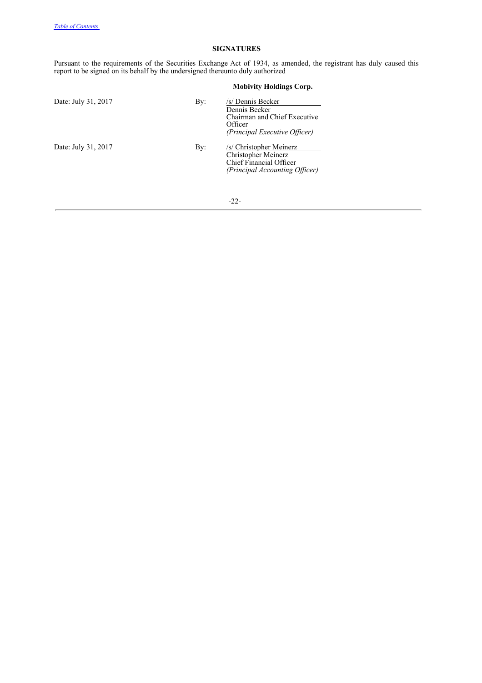## **SIGNATURES**

Pursuant to the requirements of the Securities Exchange Act of 1934, as amended, the registrant has duly caused this report to be signed on its behalf by the undersigned thereunto duly authorized

| Date: July 31, 2017 | By: | /s/ Dennis Becker<br>Dennis Becker<br>Chairman and Chief Executive<br>Officer<br>(Principal Executive Officer) |
|---------------------|-----|----------------------------------------------------------------------------------------------------------------|
| Date: July 31, 2017 | By: | /s/ Christopher Meinerz<br>Christopher Meinerz<br>Chief Financial Officer<br>(Principal Accounting Officer)    |

## **Mobivity Holdings Corp.**

-22-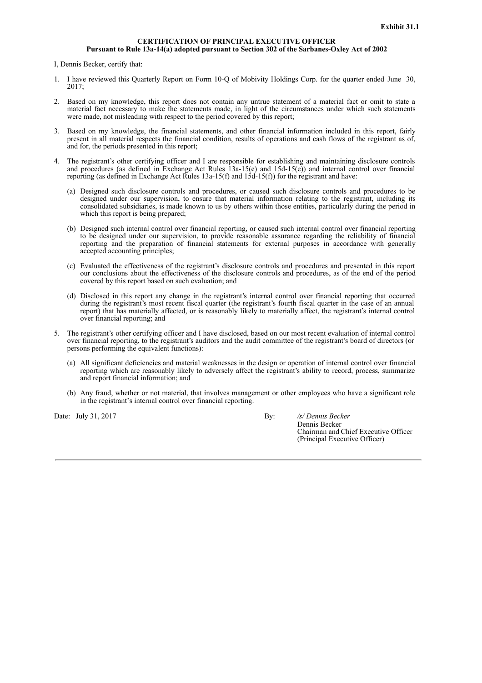## **CERTIFICATION OF PRINCIPAL EXECUTIVE OFFICER Pursuant to Rule 13a-14(a) adopted pursuant to Section 302 of the Sarbanes-Oxley Act of 2002**

I, Dennis Becker, certify that:

- 1. I have reviewed this Quarterly Report on Form 10-Q of Mobivity Holdings Corp. for the quarter ended June 30,  $2017$
- 2. Based on my knowledge, this report does not contain any untrue statement of a material fact or omit to state a material fact necessary to make the statements made, in light of the circumstances under which such statements were made, not misleading with respect to the period covered by this report;
- 3. Based on my knowledge, the financial statements, and other financial information included in this report, fairly present in all material respects the financial condition, results of operations and cash flows of the registrant as of, and for, the periods presented in this report;
- 4. The registrant's other certifying officer and I are responsible for establishing and maintaining disclosure controls and procedures (as defined in Exchange Act Rules 13a-15(e) and 15d-15(e)) and internal control over financial reporting (as defined in Exchange Act Rules 13a-15(f) and  $1\overline{5d-15(f)}$  for the registrant and have:
	- (a) Designed such disclosure controls and procedures, or caused such disclosure controls and procedures to be designed under our supervision, to ensure that material information relating to the registrant, including its consolidated subsidiaries, is made known to us by others within those entities, particularly during the period in which this report is being prepared;
	- (b) Designed such internal control over financial reporting, or caused such internal control over financial reporting to be designed under our supervision, to provide reasonable assurance regarding the reliability of financial reporting and the preparation of financial statements for external purposes in accordance with generally accepted accounting principles;
	- (c) Evaluated the effectiveness of the registrant's disclosure controls and procedures and presented in this report our conclusions about the effectiveness of the disclosure controls and procedures, as of the end of the period covered by this report based on such evaluation; and
	- (d) Disclosed in this report any change in the registrant's internal control over financial reporting that occurred during the registrant's most recent fiscal quarter (the registrant's fourth fiscal quarter in the case of an annual report) that has materially affected, or is reasonably likely to materially affect, the registrant's internal control over financial reporting; and
- 5. The registrant's other certifying officer and I have disclosed, based on our most recent evaluation of internal control over financial reporting, to the registrant's auditors and the audit committee of the registrant's board of directors (or persons performing the equivalent functions):
	- (a) All significant deficiencies and material weaknesses in the design or operation of internal control over financial reporting which are reasonably likely to adversely affect the registrant's ability to record, process, summarize and report financial information; and
	- (b) Any fraud, whether or not material, that involves management or other employees who have a significant role in the registrant's internal control over financial reporting.

Date: July 31, 2017 By: */s/ Dennis Becker*

Dennis Becker Chairman and Chief Executive Officer (Principal Executive Officer)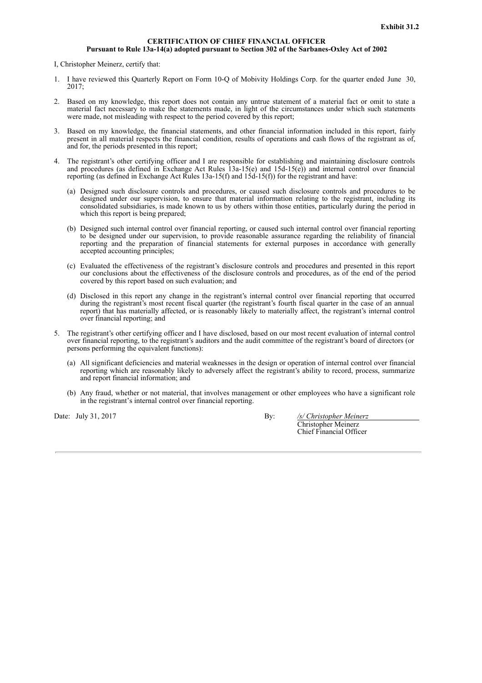## **CERTIFICATION OF CHIEF FINANCIAL OFFICER Pursuant to Rule 13a-14(a) adopted pursuant to Section 302 of the Sarbanes-Oxley Act of 2002**

I, Christopher Meinerz, certify that:

- 1. I have reviewed this Quarterly Report on Form 10-Q of Mobivity Holdings Corp. for the quarter ended June 30,  $2017$
- 2. Based on my knowledge, this report does not contain any untrue statement of a material fact or omit to state a material fact necessary to make the statements made, in light of the circumstances under which such statements were made, not misleading with respect to the period covered by this report;
- 3. Based on my knowledge, the financial statements, and other financial information included in this report, fairly present in all material respects the financial condition, results of operations and cash flows of the registrant as of, and for, the periods presented in this report;
- 4. The registrant's other certifying officer and I are responsible for establishing and maintaining disclosure controls and procedures (as defined in Exchange Act Rules 13a-15(e) and 15d-15(e)) and internal control over financial reporting (as defined in Exchange Act Rules 13a-15(f) and  $1\overline{5d-15(f)}$  for the registrant and have:
	- (a) Designed such disclosure controls and procedures, or caused such disclosure controls and procedures to be designed under our supervision, to ensure that material information relating to the registrant, including its consolidated subsidiaries, is made known to us by others within those entities, particularly during the period in which this report is being prepared;
	- (b) Designed such internal control over financial reporting, or caused such internal control over financial reporting to be designed under our supervision, to provide reasonable assurance regarding the reliability of financial reporting and the preparation of financial statements for external purposes in accordance with generally accepted accounting principles;
	- (c) Evaluated the effectiveness of the registrant's disclosure controls and procedures and presented in this report our conclusions about the effectiveness of the disclosure controls and procedures, as of the end of the period covered by this report based on such evaluation; and
	- (d) Disclosed in this report any change in the registrant's internal control over financial reporting that occurred during the registrant's most recent fiscal quarter (the registrant's fourth fiscal quarter in the case of an annual report) that has materially affected, or is reasonably likely to materially affect, the registrant's internal control over financial reporting; and
- 5. The registrant's other certifying officer and I have disclosed, based on our most recent evaluation of internal control over financial reporting, to the registrant's auditors and the audit committee of the registrant's board of directors (or persons performing the equivalent functions):
	- (a) All significant deficiencies and material weaknesses in the design or operation of internal control over financial reporting which are reasonably likely to adversely affect the registrant's ability to record, process, summarize and report financial information; and
	- (b) Any fraud, whether or not material, that involves management or other employees who have a significant role in the registrant's internal control over financial reporting.

Date: July 31, 2017 By: */s/ Christopher Meinerz* Christopher Meinerz

Chief Financial Officer